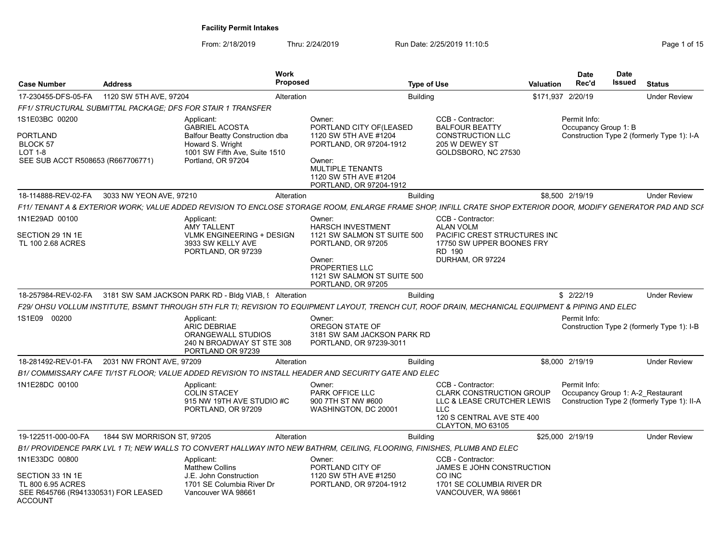| <b>Case Number</b>                                                                                        | <b>Address</b>             | Work<br><b>Proposed</b>                                                                                                                                        |                                                                                                                                                                                 | <b>Type of Use</b>                                                                                                                                 | <b>Valuation</b>  | <b>Date</b><br>Rec'd                 | <b>Date</b><br><b>Issued</b> | <b>Status</b>                                                                    |
|-----------------------------------------------------------------------------------------------------------|----------------------------|----------------------------------------------------------------------------------------------------------------------------------------------------------------|---------------------------------------------------------------------------------------------------------------------------------------------------------------------------------|----------------------------------------------------------------------------------------------------------------------------------------------------|-------------------|--------------------------------------|------------------------------|----------------------------------------------------------------------------------|
| 17-230455-DFS-05-FA                                                                                       | 1120 SW 5TH AVE, 97204     | Alteration                                                                                                                                                     |                                                                                                                                                                                 | <b>Building</b>                                                                                                                                    | \$171,937 2/20/19 |                                      |                              | <b>Under Review</b>                                                              |
|                                                                                                           |                            | FF1/ STRUCTURAL SUBMITTAL PACKAGE; DFS FOR STAIR 1 TRANSFER                                                                                                    |                                                                                                                                                                                 |                                                                                                                                                    |                   |                                      |                              |                                                                                  |
| 1S1E03BC 00200<br>PORTLAND<br><b>BLOCK 57</b><br><b>LOT 1-8</b><br>SEE SUB ACCT R508653 (R667706771)      |                            | Applicant:<br><b>GABRIEL ACOSTA</b><br><b>Balfour Beatty Construction dba</b><br>Howard S. Wright<br>1001 SW Fifth Ave, Suite 1510<br>Portland, OR 97204       | Owner:<br>PORTLAND CITY OF (LEASED<br>1120 SW 5TH AVE #1204<br>PORTLAND, OR 97204-1912<br>Owner:<br><b>MULTIPLE TENANTS</b><br>1120 SW 5TH AVE #1204<br>PORTLAND, OR 97204-1912 | CCB - Contractor:<br><b>BALFOUR BEATTY</b><br><b>CONSTRUCTION LLC</b><br>205 W DEWEY ST<br>GOLDSBORO, NC 27530                                     |                   | Permit Info:<br>Occupancy Group 1: B |                              | Construction Type 2 (formerly Type 1): I-A                                       |
| 18-114888-REV-02-FA                                                                                       | 3033 NW YEON AVE, 97210    | Alteration                                                                                                                                                     |                                                                                                                                                                                 | <b>Building</b>                                                                                                                                    |                   | \$8,500 2/19/19                      |                              | <b>Under Review</b>                                                              |
|                                                                                                           |                            | F11/ TENANT A & EXTERIOR WORK; VALUE ADDED REVISION TO ENCLOSE STORAGE ROOM, ENLARGE FRAME SHOP, INFILL CRATE SHOP EXTERIOR DOOR, MODIFY GENERATOR PAD AND SCF |                                                                                                                                                                                 |                                                                                                                                                    |                   |                                      |                              |                                                                                  |
| 1N1E29AD 00100<br>SECTION 29 1N 1E<br>TL 100 2.68 ACRES                                                   |                            | Applicant:<br><b>AMY TALLENT</b><br><b>VLMK ENGINEERING + DESIGN</b><br>3933 SW KELLY AVE<br>PORTLAND, OR 97239                                                | Owner:<br><b>HARSCH INVESTMENT</b><br>1121 SW SALMON ST SUITE 500<br>PORTLAND, OR 97205<br>Owner:<br><b>PROPERTIES LLC</b><br>1121 SW SALMON ST SUITE 500<br>PORTLAND, OR 97205 | CCB - Contractor:<br><b>ALAN VOLM</b><br><b>PACIFIC CREST STRUCTURES INC</b><br>17750 SW UPPER BOONES FRY<br><b>RD 190</b><br>DURHAM, OR 97224     |                   |                                      |                              |                                                                                  |
| 18-257984-REV-02-FA                                                                                       |                            | 3181 SW SAM JACKSON PARK RD - Bldg VIAB, § Alteration                                                                                                          |                                                                                                                                                                                 | <b>Building</b>                                                                                                                                    |                   | \$2/22/19                            |                              | <b>Under Review</b>                                                              |
|                                                                                                           |                            | F29/ OHSU VOLLUM INSTITUTE, BSMNT THROUGH 5TH FLR TI; REVISION TO EQUIPMENT LAYOUT, TRENCH CUT, ROOF DRAIN, MECHANICAL EQUIPMENT & PIPING AND ELEC             |                                                                                                                                                                                 |                                                                                                                                                    |                   |                                      |                              |                                                                                  |
| 1S1E09 00200                                                                                              |                            | Applicant:<br><b>ARIC DEBRIAE</b><br>ORANGEWALL STUDIOS<br>240 N BROADWAY ST STE 308<br>PORTLAND OR 97239                                                      | Owner:<br>OREGON STATE OF<br>3181 SW SAM JACKSON PARK RD<br>PORTLAND, OR 97239-3011                                                                                             |                                                                                                                                                    |                   | Permit Info:                         |                              | Construction Type 2 (formerly Type 1): I-B                                       |
| 18-281492-REV-01-FA                                                                                       | 2031 NW FRONT AVE, 97209   | Alteration                                                                                                                                                     |                                                                                                                                                                                 | <b>Building</b>                                                                                                                                    |                   | \$8,000 2/19/19                      |                              | <b>Under Review</b>                                                              |
|                                                                                                           |                            | B1/ COMMISSARY CAFE TI/1ST FLOOR: VALUE ADDED REVISION TO INSTALL HEADER AND SECURITY GATE AND ELEC                                                            |                                                                                                                                                                                 |                                                                                                                                                    |                   |                                      |                              |                                                                                  |
| 1N1E28DC 00100                                                                                            |                            | Applicant:<br><b>COLIN STACEY</b><br>915 NW 19TH AVE STUDIO #C<br>PORTLAND, OR 97209                                                                           | Owner:<br>PARK OFFICE LLC<br>900 7TH ST NW #600<br>WASHINGTON, DC 20001                                                                                                         | CCB - Contractor:<br><b>CLARK CONSTRUCTION GROUP</b><br>LLC & LEASE CRUTCHER LEWIS<br><b>LLC</b><br>120 S CENTRAL AVE STE 400<br>CLAYTON, MO 63105 |                   | Permit Info:                         |                              | Occupancy Group 1: A-2 Restaurant<br>Construction Type 2 (formerly Type 1): II-A |
| 19-122511-000-00-FA                                                                                       | 1844 SW MORRISON ST, 97205 | Alteration                                                                                                                                                     |                                                                                                                                                                                 | <b>Building</b>                                                                                                                                    |                   | \$25,000 2/19/19                     |                              | <b>Under Review</b>                                                              |
|                                                                                                           |                            | B1/ PROVIDENCE PARK LVL 1 TI; NEW WALLS TO CONVERT HALLWAY INTO NEW BATHRM, CEILING, FLOORING, FINISHES, PLUMB AND ELEC                                        |                                                                                                                                                                                 |                                                                                                                                                    |                   |                                      |                              |                                                                                  |
| 1N1E33DC 00800<br>SECTION 33 1N 1E<br>TL 800 6.95 ACRES<br>SEE R645766 (R941330531) FOR LEASED<br>ACCOUNT |                            | Applicant:<br><b>Matthew Collins</b><br>J.E. John Construction<br>1701 SE Columbia River Dr<br>Vancouver WA 98661                                              | Owner:<br>PORTLAND CITY OF<br>1120 SW 5TH AVE #1250<br>PORTLAND, OR 97204-1912                                                                                                  | CCB - Contractor:<br>JAMES E JOHN CONSTRUCTION<br>CO INC<br>1701 SE COLUMBIA RIVER DR<br>VANCOUVER, WA 98661                                       |                   |                                      |                              |                                                                                  |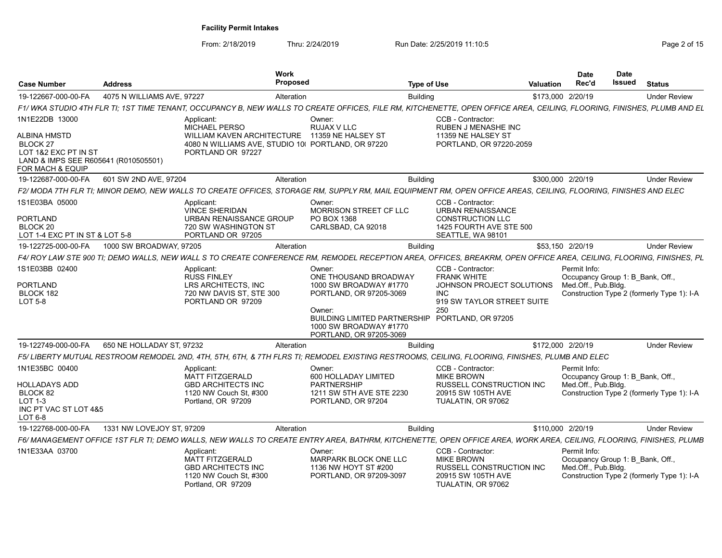| <b>Case Number</b>                                                                                                  | <b>Address</b>             | <b>Work</b><br><b>Proposed</b>                                                                                                                                         |                                                                                                                                                                                            | <b>Type of Use</b>                                                                                                                            | <b>Valuation</b>  | <b>Date</b><br>Rec'd                                                    | <b>Date</b><br>Issued | <b>Status</b>                              |
|---------------------------------------------------------------------------------------------------------------------|----------------------------|------------------------------------------------------------------------------------------------------------------------------------------------------------------------|--------------------------------------------------------------------------------------------------------------------------------------------------------------------------------------------|-----------------------------------------------------------------------------------------------------------------------------------------------|-------------------|-------------------------------------------------------------------------|-----------------------|--------------------------------------------|
| 19-122667-000-00-FA                                                                                                 | 4075 N WILLIAMS AVE, 97227 | Alteration                                                                                                                                                             |                                                                                                                                                                                            | <b>Building</b>                                                                                                                               | \$173,000 2/20/19 |                                                                         |                       | <b>Under Review</b>                        |
|                                                                                                                     |                            | F1/WKA STUDIO 4TH FLR TI; 1ST TIME TENANT, OCCUPANCY B, NEW WALLS TO CREATE OFFICES, FILE RM, KITCHENETTE, OPEN OFFICE AREA, CEILING, FLOORING, FINISHES, PLUMB AND EL |                                                                                                                                                                                            |                                                                                                                                               |                   |                                                                         |                       |                                            |
| 1N1E22DB 13000                                                                                                      |                            | Applicant:<br><b>MICHAEL PERSO</b>                                                                                                                                     | Owner:<br>RUJAX V LLC                                                                                                                                                                      | CCB - Contractor:<br><b>RUBEN J MENASHE INC</b>                                                                                               |                   |                                                                         |                       |                                            |
| <b>ALBINA HMSTD</b><br>BLOCK 27<br>LOT 1&2 EXC PT IN ST<br>LAND & IMPS SEE R605641 (R010505501)<br>FOR MACH & EQUIP |                            | WILLIAM KAVEN ARCHITECTURE 11359 NE HALSEY ST<br>4080 N WILLIAMS AVE, STUDIO 10( PORTLAND, OR 97220)<br>PORTLAND OR 97227                                              |                                                                                                                                                                                            | 11359 NE HALSEY ST<br>PORTLAND, OR 97220-2059                                                                                                 |                   |                                                                         |                       |                                            |
| 19-122687-000-00-FA                                                                                                 | 601 SW 2ND AVE, 97204      | Alteration                                                                                                                                                             |                                                                                                                                                                                            | <b>Building</b>                                                                                                                               | \$300,000 2/20/19 |                                                                         |                       | <b>Under Review</b>                        |
|                                                                                                                     |                            | F2/ MODA 7TH FLR TI; MINOR DEMO, NEW WALLS TO CREATE OFFICES, STORAGE RM, SUPPLY RM, MAIL EQUIPMENT RM, OPEN OFFICE AREAS, CEILING, FLOORING, FINISHES AND ELEC        |                                                                                                                                                                                            |                                                                                                                                               |                   |                                                                         |                       |                                            |
| 1S1E03BA 05000<br><b>PORTLAND</b><br>BLOCK 20<br>LOT 1-4 EXC PT IN ST & LOT 5-8                                     |                            | Applicant:<br><b>VINCE SHERIDAN</b><br>URBAN RENAISSANCE GROUP<br>720 SW WASHINGTON ST<br>PORTLAND OR 97205                                                            | Owner:<br>MORRISON STREET CF LLC<br>PO BOX 1368<br>CARLSBAD, CA 92018                                                                                                                      | CCB - Contractor:<br><b>URBAN RENAISSANCE</b><br><b>CONSTRUCTION LLC</b><br>1425 FOURTH AVE STE 500<br>SEATTLE, WA 98101                      |                   |                                                                         |                       |                                            |
| 19-122725-000-00-FA                                                                                                 | 1000 SW BROADWAY, 97205    | Alteration                                                                                                                                                             |                                                                                                                                                                                            | <b>Building</b>                                                                                                                               |                   | \$53,150 2/20/19                                                        |                       | <b>Under Review</b>                        |
|                                                                                                                     |                            | F4/ ROY LAW STE 900 TI; DEMO WALLS, NEW WALL S TO CREATE CONFERENCE RM, REMODEL RECEPTION AREA, OFFICES, BREAKRM, OPEN OFFICE AREA, CEILING, FLOORING, FINISHES, PL    |                                                                                                                                                                                            |                                                                                                                                               |                   |                                                                         |                       |                                            |
| 1S1E03BB 02400<br><b>PORTLAND</b><br>BLOCK 182<br><b>LOT 5-8</b>                                                    |                            | Applicant:<br><b>RUSS FINLEY</b><br>LRS ARCHITECTS, INC<br>720 NW DAVIS ST, STE 300<br>PORTLAND OR 97209                                                               | Owner:<br>ONE THOUSAND BROADWAY<br>1000 SW BROADWAY #1770<br>PORTLAND, OR 97205-3069<br>Owner:<br><b>BUILDING LIMITED PARTNERSHIP</b><br>1000 SW BROADWAY #1770<br>PORTLAND, OR 97205-3069 | CCB - Contractor:<br><b>FRANK WHITE</b><br>JOHNSON PROJECT SOLUTIONS<br><b>INC</b><br>919 SW TAYLOR STREET SUITE<br>250<br>PORTLAND, OR 97205 |                   | Permit Info:<br>Occupancy Group 1: B Bank, Off.,<br>Med.Off., Pub.Bldg. |                       | Construction Type 2 (formerly Type 1): I-A |
| 19-122749-000-00-FA                                                                                                 | 650 NE HOLLADAY ST, 97232  | Alteration                                                                                                                                                             |                                                                                                                                                                                            | <b>Building</b>                                                                                                                               | \$172,000 2/20/19 |                                                                         |                       | <b>Under Review</b>                        |
|                                                                                                                     |                            | F5/ LIBERTY MUTUAL RESTROOM REMODEL 2ND, 4TH, 5TH, 6TH, & 7TH FLRS TI; REMODEL EXISTING RESTROOMS, CEILING, FLOORING, FINISHES, PLUMB AND ELEC                         |                                                                                                                                                                                            |                                                                                                                                               |                   |                                                                         |                       |                                            |
| 1N1E35BC 00400<br>HOLLADAYS ADD<br>BLOCK 82<br>LOT 1-3<br>INC PT VAC ST LOT 4&5<br>LOT 6-8                          |                            | Applicant:<br><b>MATT FITZGERALD</b><br><b>GBD ARCHITECTS INC</b><br>1120 NW Couch St, #300<br>Portland, OR 97209                                                      | Owner:<br>600 HOLLADAY LIMITED<br><b>PARTNERSHIP</b><br>1211 SW 5TH AVE STE 2230<br>PORTLAND, OR 97204                                                                                     | CCB - Contractor:<br><b>MIKE BROWN</b><br><b>RUSSELL CONSTRUCTION INC.</b><br>20915 SW 105TH AVE<br>TUALATIN, OR 97062                        |                   | Permit Info:<br>Occupancy Group 1: B Bank, Off.,<br>Med.Off., Pub.Bldg. |                       | Construction Type 2 (formerly Type 1): I-A |
| 19-122768-000-00-FA                                                                                                 | 1331 NW LOVEJOY ST, 97209  | Alteration                                                                                                                                                             |                                                                                                                                                                                            | <b>Building</b>                                                                                                                               | \$110,000 2/20/19 |                                                                         |                       | <b>Under Review</b>                        |
|                                                                                                                     |                            | F6/ MANAGEMENT OFFICE 1ST FLR TI; DEMO WALLS, NEW WALLS TO CREATE ENTRY AREA, BATHRM, KITCHENETTE, OPEN OFFICE AREA, WORK AREA, CEILING, FLOORING, FINISHES, PLUMB     |                                                                                                                                                                                            |                                                                                                                                               |                   |                                                                         |                       |                                            |
| 1N1E33AA 03700                                                                                                      |                            | Applicant:<br><b>MATT FITZGERALD</b><br><b>GBD ARCHITECTS INC</b><br>1120 NW Couch St. #300<br>Portland, OR 97209                                                      | Owner:<br>MARPARK BLOCK ONE LLC<br>1136 NW HOYT ST #200<br>PORTLAND, OR 97209-3097                                                                                                         | CCB - Contractor:<br><b>MIKE BROWN</b><br><b>RUSSELL CONSTRUCTION INC.</b><br>20915 SW 105TH AVE<br>TUALATIN, OR 97062                        |                   | Permit Info:<br>Occupancy Group 1: B Bank, Off.,<br>Med.Off., Pub.Bldg. |                       | Construction Type 2 (formerly Type 1): I-A |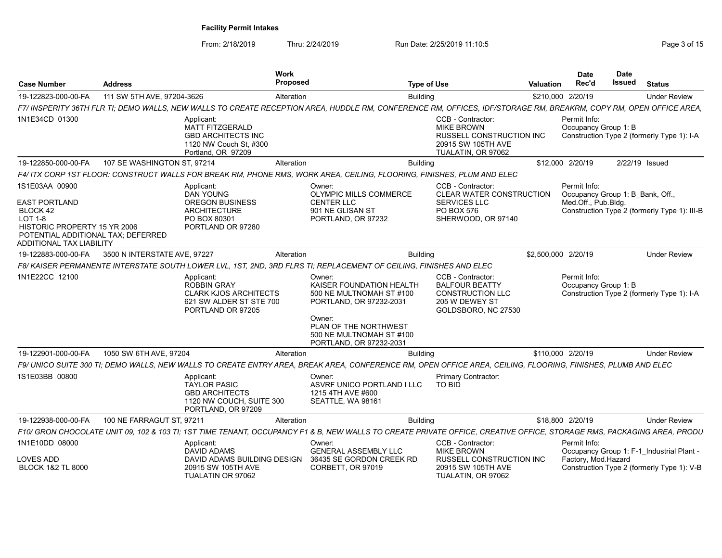| <b>Case Number</b>                                                                                                                                                     | <b>Address</b>               |                                                                                                                  | Work<br>Proposed |                                                                                                                                                                                     | <b>Type of Use</b> |                                                                                                                        | Valuation           | <b>Date</b><br>Rec'd                                                    | <b>Date</b><br>Issued | <b>Status</b>                                |
|------------------------------------------------------------------------------------------------------------------------------------------------------------------------|------------------------------|------------------------------------------------------------------------------------------------------------------|------------------|-------------------------------------------------------------------------------------------------------------------------------------------------------------------------------------|--------------------|------------------------------------------------------------------------------------------------------------------------|---------------------|-------------------------------------------------------------------------|-----------------------|----------------------------------------------|
| 19-122823-000-00-FA                                                                                                                                                    | 111 SW 5TH AVE. 97204-3626   |                                                                                                                  | Alteration       |                                                                                                                                                                                     | <b>Building</b>    |                                                                                                                        | \$210,000 2/20/19   |                                                                         |                       | <b>Under Review</b>                          |
|                                                                                                                                                                        |                              |                                                                                                                  |                  | F7/INSPERITY 36TH FLR TI; DEMO WALLS, NEW WALLS TO CREATE RECEPTION AREA, HUDDLE RM, CONFERENCE RM, OFFICES, IDF/STORAGE RM, BREAKRM, COPY RM, OPEN OFFICE AREA                     |                    |                                                                                                                        |                     |                                                                         |                       |                                              |
| 1N1E34CD 01300                                                                                                                                                         |                              | Applicant<br><b>MATT FITZGERALD</b><br><b>GBD ARCHITECTS INC</b><br>1120 NW Couch St. #300<br>Portland, OR 97209 |                  |                                                                                                                                                                                     |                    | CCB - Contractor:<br><b>MIKE BROWN</b><br>RUSSELL CONSTRUCTION INC<br>20915 SW 105TH AVE<br>TUALATIN, OR 97062         |                     | Permit Info:<br>Occupancy Group 1: B                                    |                       | Construction Type 2 (formerly Type 1): I-A   |
| 19-122850-000-00-FA                                                                                                                                                    | 107 SE WASHINGTON ST. 97214  |                                                                                                                  | Alteration       |                                                                                                                                                                                     | <b>Building</b>    |                                                                                                                        | \$12,000 2/20/19    |                                                                         | 2/22/19 Issued        |                                              |
|                                                                                                                                                                        |                              |                                                                                                                  |                  | F4/ ITX CORP 1ST FLOOR: CONSTRUCT WALLS FOR BREAK RM. PHONE RMS, WORK AREA, CEILING, FLOORING, FINISHES, PLUM AND ELEC                                                              |                    |                                                                                                                        |                     |                                                                         |                       |                                              |
| 1S1E03AA 00900<br><b>EAST PORTLAND</b><br>BLOCK 42<br><b>LOT 1-8</b><br>HISTORIC PROPERTY 15 YR 2006<br>POTENTIAL ADDITIONAL TAX: DEFERRED<br>ADDITIONAL TAX LIABILITY |                              | Applicant:<br>DAN YOUNG<br><b>OREGON BUSINESS</b><br><b>ARCHITECTURE</b><br>PO BOX 80301<br>PORTLAND OR 97280    |                  | Owner:<br><b>OLYMPIC MILLS COMMERCE</b><br><b>CENTER LLC</b><br>901 NE GLISAN ST<br>PORTLAND, OR 97232                                                                              |                    | <b>CCB - Contractor:</b><br><b>CLEAR WATER CONSTRUCTION</b><br><b>SERVICES LLC</b><br>PO BOX 576<br>SHERWOOD, OR 97140 |                     | Permit Info:<br>Occupancy Group 1: B Bank, Off.,<br>Med.Off., Pub.Bldg. |                       | Construction Type 2 (formerly Type 1): III-B |
| 19-122883-000-00-FA                                                                                                                                                    | 3500 N INTERSTATE AVE, 97227 |                                                                                                                  | Alteration       |                                                                                                                                                                                     | <b>Building</b>    |                                                                                                                        | \$2,500,000 2/20/19 |                                                                         |                       | <b>Under Review</b>                          |
|                                                                                                                                                                        |                              |                                                                                                                  |                  | F8/KAISER PERMANENTE INTERSTATE SOUTH LOWER LVL. 1ST. 2ND. 3RD FLRS TI: REPLACEMENT OF CEILING. FINISHES AND ELEC                                                                   |                    |                                                                                                                        |                     |                                                                         |                       |                                              |
| 1N1E22CC 12100                                                                                                                                                         |                              | Applicant:<br><b>ROBBIN GRAY</b><br><b>CLARK KJOS ARCHITECTS</b><br>621 SW ALDER ST STE 700<br>PORTLAND OR 97205 |                  | Owner:<br>KAISER FOUNDATION HEALTH<br>500 NE MULTNOMAH ST #100<br>PORTLAND, OR 97232-2031<br>Owner:<br>PLAN OF THE NORTHWEST<br>500 NE MULTNOMAH ST #100<br>PORTLAND, OR 97232-2031 |                    | CCB - Contractor:<br><b>BALFOUR BEATTY</b><br><b>CONSTRUCTION LLC</b><br>205 W DEWEY ST<br>GOLDSBORO, NC 27530         |                     | Permit Info:<br>Occupancy Group 1: B                                    |                       | Construction Type 2 (formerly Type 1): I-A   |
| 19-122901-000-00-FA                                                                                                                                                    | 1050 SW 6TH AVE, 97204       |                                                                                                                  | Alteration       |                                                                                                                                                                                     | <b>Building</b>    |                                                                                                                        | \$110,000 2/20/19   |                                                                         |                       | <b>Under Review</b>                          |
|                                                                                                                                                                        |                              |                                                                                                                  |                  | F9/ UNICO SUITE 300 TI; DEMO WALLS, NEW WALLS TO CREATE ENTRY AREA, BREAK AREA, CONFERENCE RM, OPEN OFFICE AREA, CEILING, FLOORING, FINISHES, PLUMB AND ELEC                        |                    |                                                                                                                        |                     |                                                                         |                       |                                              |
| 1S1E03BB 00800                                                                                                                                                         |                              | Applicant:<br><b>TAYLOR PASIC</b><br><b>GBD ARCHITECTS</b><br>1120 NW COUCH, SUITE 300<br>PORTLAND, OR 97209     |                  | Owner:<br>ASVRF UNICO PORTLAND I LLC<br>1215 4TH AVE #600<br>SEATTLE, WA 98161                                                                                                      |                    | <b>Primary Contractor:</b><br><b>TO BID</b>                                                                            |                     |                                                                         |                       |                                              |
| 19-122938-000-00-FA                                                                                                                                                    | 100 NE FARRAGUT ST. 97211    |                                                                                                                  | Alteration       |                                                                                                                                                                                     | <b>Building</b>    |                                                                                                                        | \$18,800 2/20/19    |                                                                         |                       | <b>Under Review</b>                          |
|                                                                                                                                                                        |                              |                                                                                                                  |                  | F10/ GRON CHOCOLATE UNIT 09, 102 & 103 TI; 1ST TIME TENANT, OCCUPANCY F1 & B, NEW WALLS TO CREATE PRIVATE OFFICE, CREATIVE OFFICE, STORAGE RMS, PACKAGING AREA, PRODU               |                    |                                                                                                                        |                     |                                                                         |                       |                                              |
| 1N1E10DD 08000<br>LOVES ADD                                                                                                                                            |                              | Applicant<br>DAVID ADAMS<br>DAVID ADAMS BUILDING DESIGN                                                          |                  | Owner:<br><b>GENERAL ASSEMBLY LLC</b><br>36435 SE GORDON CREEK RD                                                                                                                   |                    | CCB - Contractor:<br><b>MIKE BROWN</b><br><b>RUSSELL CONSTRUCTION INC</b>                                              |                     | Permit Info:<br>Factory, Mod.Hazard                                     |                       | Occupancy Group 1: F-1_Industrial Plant -    |
| <b>BLOCK 1&amp;2 TL 8000</b>                                                                                                                                           |                              | 20915 SW 105TH AVE<br>TUALATIN OR 97062                                                                          |                  | CORBETT, OR 97019                                                                                                                                                                   |                    | 20915 SW 105TH AVE<br>TUALATIN, OR 97062                                                                               |                     |                                                                         |                       | Construction Type 2 (formerly Type 1): V-B   |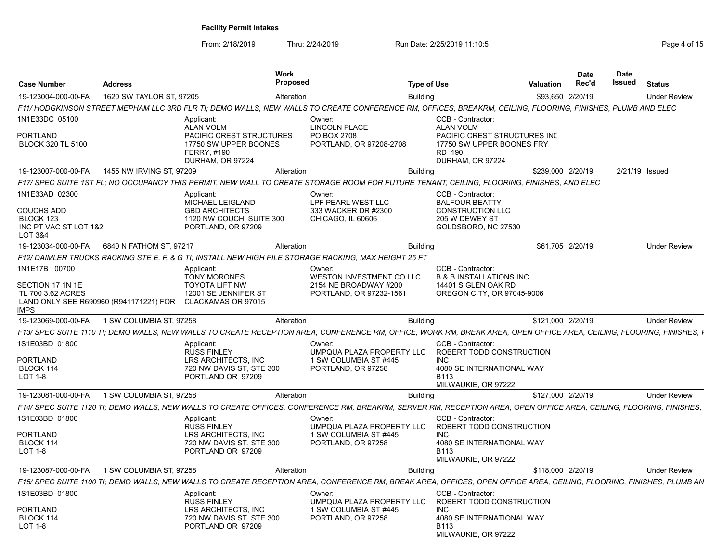| <b>Case Number</b>                                                            | <b>Address</b>                         | <b>Work</b><br><b>Proposed</b>                                                                                                                                        |                                                                                    | <b>Type of Use</b> |                                                                                                                   | Valuation         | Date<br>Rec'd | Date<br>Issued | <b>Status</b>       |
|-------------------------------------------------------------------------------|----------------------------------------|-----------------------------------------------------------------------------------------------------------------------------------------------------------------------|------------------------------------------------------------------------------------|--------------------|-------------------------------------------------------------------------------------------------------------------|-------------------|---------------|----------------|---------------------|
| 19-123004-000-00-FA                                                           | 1620 SW TAYLOR ST, 97205               | Alteration                                                                                                                                                            |                                                                                    | <b>Building</b>    |                                                                                                                   | \$93,650 2/20/19  |               |                | <b>Under Review</b> |
|                                                                               |                                        | F11/ HODGKINSON STREET MEPHAM LLC 3RD FLR TI; DEMO WALLS, NEW WALLS TO CREATE CONFERENCE RM, OFFICES, BREAKRM, CEILING, FLOORING, FINISHES, PLUMB AND ELEC            |                                                                                    |                    |                                                                                                                   |                   |               |                |                     |
| 1N1E33DC 05100<br>PORTLAND<br><b>BLOCK 320 TL 5100</b>                        |                                        | Applicant:<br><b>ALAN VOLM</b><br>PACIFIC CREST STRUCTURES<br>17750 SW UPPER BOONES<br><b>FERRY, #190</b>                                                             | Owner:<br><b>LINCOLN PLACE</b><br>PO BOX 2708<br>PORTLAND, OR 97208-2708           |                    | CCB - Contractor:<br><b>ALAN VOLM</b><br>PACIFIC CREST STRUCTURES INC<br>17750 SW UPPER BOONES FRY<br>RD 190      |                   |               |                |                     |
|                                                                               |                                        | DURHAM, OR 97224                                                                                                                                                      |                                                                                    |                    | DURHAM, OR 97224                                                                                                  |                   |               |                |                     |
| 19-123007-000-00-FA                                                           | 1455 NW IRVING ST, 97209               | Alteration                                                                                                                                                            |                                                                                    | <b>Building</b>    |                                                                                                                   | \$239,000 2/20/19 |               |                | 2/21/19 Issued      |
|                                                                               |                                        | F17/ SPEC SUITE 1ST FL: NO OCCUPANCY THIS PERMIT, NEW WALL TO CREATE STORAGE ROOM FOR FUTURE TENANT, CEILING, FLOORING, FINISHES, AND ELEC                            |                                                                                    |                    |                                                                                                                   |                   |               |                |                     |
| 1N1E33AD 02300<br>COUCHS ADD<br>BLOCK 123<br>INC PT VAC ST LOT 1&2<br>LOT 3&4 |                                        | Applicant:<br>MICHAEL LEIGLAND<br><b>GBD ARCHITECTS</b><br>1120 NW COUCH, SUITE 300<br>PORTLAND, OR 97209                                                             | Owner:<br>LPF PEARL WEST LLC<br>333 WACKER DR #2300<br>CHICAGO, IL 60606           |                    | CCB - Contractor:<br><b>BALFOUR BEATTY</b><br><b>CONSTRUCTION LLC</b><br>205 W DEWEY ST<br>GOLDSBORO, NC 27530    |                   |               |                |                     |
| 19-123034-000-00-FA                                                           | 6840 N FATHOM ST, 97217                | Alteration                                                                                                                                                            |                                                                                    | <b>Building</b>    |                                                                                                                   | \$61,705 2/20/19  |               |                | <b>Under Review</b> |
|                                                                               |                                        | F12/ DAIMLER TRUCKS RACKING STE E, F, & G TI; INSTALL NEW HIGH PILE STORAGE RACKING, MAX HEIGHT 25 FT                                                                 |                                                                                    |                    |                                                                                                                   |                   |               |                |                     |
| 1N1E17B 00700                                                                 |                                        | Applicant:<br><b>TONY MORONES</b>                                                                                                                                     | Owner:<br>WESTON INVESTMENT CO LLC                                                 |                    | CCB - Contractor:<br><b>B &amp; B INSTALLATIONS INC</b>                                                           |                   |               |                |                     |
| SECTION 17 1N 1E<br><b>TL 700 3.62 ACRES</b><br>IMPS                          | LAND ONLY SEE R690960 (R941171221) FOR | <b>TOYOTA LIFT NW</b><br>12001 SE JENNIFER ST<br>CLACKAMAS OR 97015                                                                                                   | 2154 NE BROADWAY #200<br>PORTLAND, OR 97232-1561                                   |                    | 14401 S GLEN OAK RD<br>OREGON CITY, OR 97045-9006                                                                 |                   |               |                |                     |
| 19-123069-000-00-FA                                                           | 1 SW COLUMBIA ST, 97258                | Alteration                                                                                                                                                            |                                                                                    | <b>Building</b>    |                                                                                                                   | \$121.000 2/20/19 |               |                | <b>Under Review</b> |
|                                                                               |                                        | F13/ SPEC SUITE 1110 TI; DEMO WALLS, NEW WALLS TO CREATE RECEPTION AREA, CONFERENCE RM, OFFICE, WORK RM, BREAK AREA, OPEN OFFICE AREA, CEILING, FLOORING, FINISHES, I |                                                                                    |                    |                                                                                                                   |                   |               |                |                     |
| 1S1E03BD 01800<br>PORTLAND<br>BLOCK 114<br>LOT 1-8                            |                                        | Applicant:<br><b>RUSS FINLEY</b><br>LRS ARCHITECTS, INC<br>720 NW DAVIS ST, STE 300<br>PORTLAND OR 97209                                                              | Owner:<br>UMPQUA PLAZA PROPERTY LLC<br>1 SW COLUMBIA ST #445<br>PORTLAND, OR 97258 |                    | CCB - Contractor:<br>ROBERT TODD CONSTRUCTION<br>INC.<br>4080 SE INTERNATIONAL WAY<br>B113<br>MILWAUKIE, OR 97222 |                   |               |                |                     |
| 19-123081-000-00-FA                                                           | 1 SW COLUMBIA ST, 97258                | Alteration                                                                                                                                                            |                                                                                    | <b>Building</b>    |                                                                                                                   | \$127,000 2/20/19 |               |                | <b>Under Review</b> |
|                                                                               |                                        | F14/ SPEC SUITE 1120 TI; DEMO WALLS, NEW WALLS TO CREATE OFFICES, CONFERENCE RM, BREAKRM, SERVER RM, RECEPTION AREA, OPEN OFFICE AREA, CEILING, FLOORING, FINISHES,   |                                                                                    |                    |                                                                                                                   |                   |               |                |                     |
| 1S1E03BD 01800<br>PORTLAND<br>BLOCK 114<br><b>LOT 1-8</b>                     |                                        | Applicant:<br><b>RUSS FINLEY</b><br>LRS ARCHITECTS, INC<br>720 NW DAVIS ST, STE 300<br>PORTLAND OR 97209                                                              | Owner:<br>UMPQUA PLAZA PROPERTY LLC<br>1 SW COLUMBIA ST #445<br>PORTLAND, OR 97258 |                    | CCB - Contractor:<br>ROBERT TODD CONSTRUCTION<br>INC.<br>4080 SE INTERNATIONAL WAY<br>B113<br>MILWAUKIE, OR 97222 |                   |               |                |                     |
| 19-123087-000-00-FA                                                           | 1 SW COLUMBIA ST, 97258                | Alteration                                                                                                                                                            |                                                                                    | <b>Building</b>    |                                                                                                                   | \$118,000 2/20/19 |               |                | <b>Under Review</b> |
|                                                                               |                                        | F15/ SPEC SUITE 1100 TI; DEMO WALLS, NEW WALLS TO CREATE RECEPTION AREA, CONFERENCE RM, BREAK AREA, OFFICES, OPEN OFFICE AREA, CEILING, FLOORING, FINISHES, PLUMB AN  |                                                                                    |                    |                                                                                                                   |                   |               |                |                     |
| 1S1E03BD 01800<br>PORTLAND<br>BLOCK 114                                       |                                        | Applicant:<br><b>RUSS FINLEY</b><br>LRS ARCHITECTS, INC<br>720 NW DAVIS ST, STE 300                                                                                   | Owner:<br>UMPQUA PLAZA PROPERTY LLC<br>1 SW COLUMBIA ST #445<br>PORTLAND, OR 97258 |                    | CCB - Contractor:<br>ROBERT TODD CONSTRUCTION<br>INC.<br>4080 SE INTERNATIONAL WAY                                |                   |               |                |                     |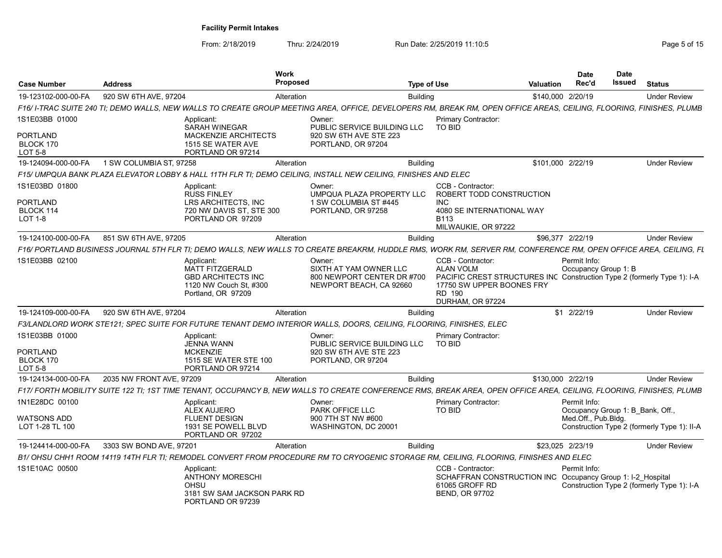| <b>Case Number</b>                               | <b>Address</b>           |                                                                                                                   | <b>Work</b><br><b>Proposed</b> |                                                                                                                                                                      | <b>Type of Use</b> |                                                                                                                                                                             | <b>Valuation</b>  | <b>Date</b><br>Rec'd                                                    | <b>Date</b><br>Issued | <b>Status</b>                               |
|--------------------------------------------------|--------------------------|-------------------------------------------------------------------------------------------------------------------|--------------------------------|----------------------------------------------------------------------------------------------------------------------------------------------------------------------|--------------------|-----------------------------------------------------------------------------------------------------------------------------------------------------------------------------|-------------------|-------------------------------------------------------------------------|-----------------------|---------------------------------------------|
| 19-123102-000-00-FA                              | 920 SW 6TH AVE, 97204    |                                                                                                                   | Alteration                     |                                                                                                                                                                      | <b>Building</b>    |                                                                                                                                                                             | \$140,000 2/20/19 |                                                                         |                       | <b>Under Review</b>                         |
|                                                  |                          |                                                                                                                   |                                | F16/I-TRAC SUITE 240 TI; DEMO WALLS, NEW WALLS TO CREATE GROUP MEETING AREA, OFFICE, DEVELOPERS RM, BREAK RM, OPEN OFFICE AREAS, CEILING, FLOORING, FINISHES, PLUMB  |                    |                                                                                                                                                                             |                   |                                                                         |                       |                                             |
| 1S1E03BB 01000                                   |                          | Applicant:<br>SARAH WINEGAR                                                                                       |                                | Owner:<br>PUBLIC SERVICE BUILDING LLC                                                                                                                                |                    | <b>Primary Contractor:</b><br><b>TO BID</b>                                                                                                                                 |                   |                                                                         |                       |                                             |
| PORTLAND<br>BLOCK 170<br>LOT 5-8                 |                          | <b>MACKENZIE ARCHITECTS</b><br>1515 SE WATER AVE<br>PORTLAND OR 97214                                             |                                | 920 SW 6TH AVE STE 223<br>PORTLAND, OR 97204                                                                                                                         |                    |                                                                                                                                                                             |                   |                                                                         |                       |                                             |
| 19-124094-000-00-FA                              | 1 SW COLUMBIA ST, 97258  |                                                                                                                   | Alteration                     |                                                                                                                                                                      | <b>Building</b>    |                                                                                                                                                                             | \$101,000 2/22/19 |                                                                         |                       | <b>Under Review</b>                         |
|                                                  |                          |                                                                                                                   |                                | F15/ UMPQUA BANK PLAZA ELEVATOR LOBBY & HALL 11TH FLR TI: DEMO CEILING. INSTALL NEW CEILING. FINISHES AND ELEC                                                       |                    |                                                                                                                                                                             |                   |                                                                         |                       |                                             |
| 1S1E03BD 01800                                   |                          | Applicant:<br><b>RUSS FINLEY</b>                                                                                  |                                | Owner:<br>UMPQUA PLAZA PROPERTY LLC                                                                                                                                  |                    | CCB - Contractor:<br>ROBERT TODD CONSTRUCTION                                                                                                                               |                   |                                                                         |                       |                                             |
| PORTLAND                                         |                          | <b>LRS ARCHITECTS. INC</b>                                                                                        |                                | 1 SW COLUMBIA ST #445                                                                                                                                                |                    | <b>INC</b>                                                                                                                                                                  |                   |                                                                         |                       |                                             |
| BLOCK 114<br>LOT 1-8                             |                          | 720 NW DAVIS ST, STE 300<br>PORTLAND OR 97209                                                                     |                                | PORTLAND, OR 97258                                                                                                                                                   |                    | 4080 SE INTERNATIONAL WAY<br>B <sub>113</sub><br>MILWAUKIE, OR 97222                                                                                                        |                   |                                                                         |                       |                                             |
| 19-124100-000-00-FA                              | 851 SW 6TH AVE, 97205    |                                                                                                                   | Alteration                     |                                                                                                                                                                      | <b>Building</b>    |                                                                                                                                                                             | \$96,377 2/22/19  |                                                                         |                       | <b>Under Review</b>                         |
|                                                  |                          |                                                                                                                   |                                | F16/ PORTLAND BUSINESS JOURNAL 5TH FLR TI; DEMO WALLS, NEW WALLS TO CREATE BREAKRM, HUDDLE RMS, WORK RM, SERVER RM, CONFERENCE RM, OPEN OFFICE AREA, CEILING, FL     |                    |                                                                                                                                                                             |                   |                                                                         |                       |                                             |
| 1S1E03BB 02100                                   |                          | Applicant:<br><b>MATT FITZGERALD</b><br><b>GBD ARCHITECTS INC</b><br>1120 NW Couch St, #300<br>Portland, OR 97209 |                                | Owner:<br>SIXTH AT YAM OWNER LLC<br>800 NEWPORT CENTER DR #700<br>NEWPORT BEACH, CA 92660                                                                            |                    | CCB - Contractor:<br><b>ALAN VOLM</b><br>PACIFIC CREST STRUCTURES INC Construction Type 2 (formerly Type 1): I-A<br>17750 SW UPPER BOONES FRY<br>RD 190<br>DURHAM, OR 97224 |                   | Permit Info:<br>Occupancy Group 1: B                                    |                       |                                             |
| 19-124109-000-00-FA                              | 920 SW 6TH AVE, 97204    |                                                                                                                   | Alteration                     |                                                                                                                                                                      | <b>Building</b>    |                                                                                                                                                                             |                   | \$1 2/22/19                                                             |                       | <b>Under Review</b>                         |
|                                                  |                          |                                                                                                                   |                                | F3/LANDLORD WORK STE121; SPEC SUITE FOR FUTURE TENANT DEMO INTERIOR WALLS, DOORS, CEILING, FLOORING, FINISHES, ELEC                                                  |                    |                                                                                                                                                                             |                   |                                                                         |                       |                                             |
| 1S1E03BB 01000<br>PORTLAND<br><b>BLOCK 170</b>   |                          | Applicant:<br><b>JENNA WANN</b><br><b>MCKENZIE</b><br>1515 SE WATER STE 100                                       |                                | Owner:<br>PUBLIC SERVICE BUILDING LLC<br>920 SW 6TH AVE STE 223<br>PORTLAND, OR 97204                                                                                |                    | <b>Primary Contractor:</b><br>TO BID                                                                                                                                        |                   |                                                                         |                       |                                             |
| <b>LOT 5-8</b>                                   |                          | PORTLAND OR 97214                                                                                                 |                                |                                                                                                                                                                      |                    |                                                                                                                                                                             |                   |                                                                         |                       |                                             |
| 19-124134-000-00-FA                              | 2035 NW FRONT AVE, 97209 |                                                                                                                   | Alteration                     |                                                                                                                                                                      | <b>Building</b>    |                                                                                                                                                                             | \$130,000 2/22/19 |                                                                         |                       | <b>Under Review</b>                         |
|                                                  |                          |                                                                                                                   |                                | F17/ FORTH MOBILITY SUITE 122 TI; 1ST TIME TENANT, OCCUPANCY B, NEW WALLS TO CREATE CONFERENCE RMS, BREAK AREA, OPEN OFFICE AREA, CEILING, FLOORING, FINISHES, PLUMB |                    |                                                                                                                                                                             |                   |                                                                         |                       |                                             |
| 1N1E28DC 00100<br>WATSONS ADD<br>LOT 1-28 TL 100 |                          | Applicant:<br><b>ALEX AUJERO</b><br><b>FLUENT DESIGN</b><br>1931 SE POWELL BLVD                                   |                                | Owner:<br>PARK OFFICE LLC<br>900 7TH ST NW #600<br>WASHINGTON, DC 20001                                                                                              |                    | Primary Contractor:<br><b>TO BID</b>                                                                                                                                        |                   | Permit Info:<br>Occupancy Group 1: B Bank, Off.,<br>Med.Off., Pub.Bldg. |                       | Construction Type 2 (formerly Type 1): II-A |
|                                                  |                          | PORTLAND OR 97202                                                                                                 |                                |                                                                                                                                                                      |                    |                                                                                                                                                                             |                   |                                                                         |                       |                                             |
| 19-124414-000-00-FA                              | 3303 SW BOND AVE, 97201  |                                                                                                                   | Alteration                     |                                                                                                                                                                      | <b>Building</b>    |                                                                                                                                                                             | \$23.025 2/23/19  |                                                                         |                       | <b>Under Review</b>                         |
|                                                  |                          |                                                                                                                   |                                | B1/ OHSU CHH1 ROOM 14119 14TH FLR TI: REMODEL CONVERT FROM PROCEDURE RM TO CRYOGENIC STORAGE RM. CEILING. FLOORING, FINISHES AND ELEC                                |                    |                                                                                                                                                                             |                   |                                                                         |                       |                                             |
| 1S1E10AC 00500                                   |                          | Applicant:<br><b>ANTHONY MORESCHI</b><br>OHSU<br>3181 SW SAM JACKSON PARK RD<br>PORTLAND OR 97239                 |                                |                                                                                                                                                                      |                    | CCB - Contractor:<br>SCHAFFRAN CONSTRUCTION INC Occupancy Group 1: I-2_Hospital<br>61065 GROFF RD<br><b>BEND, OR 97702</b>                                                  |                   | Permit Info:                                                            |                       | Construction Type 2 (formerly Type 1): I-A  |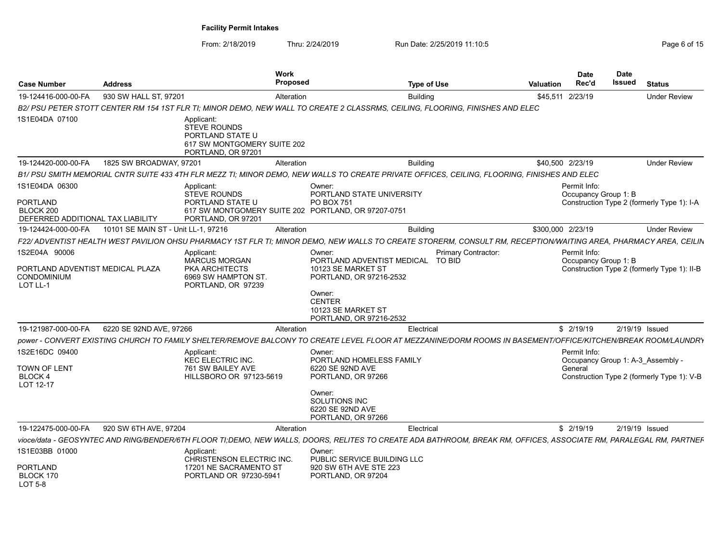| Case Number                                                                  | \ddress                                                   | Work<br>Proposeo                                                                                                                   |                                                                                                                                     | Tvpe of Use                                                                                                                                                        | Date<br>Rec'd<br>Valuation           | Date<br>Issued<br><b>Status</b>                                                 |
|------------------------------------------------------------------------------|-----------------------------------------------------------|------------------------------------------------------------------------------------------------------------------------------------|-------------------------------------------------------------------------------------------------------------------------------------|--------------------------------------------------------------------------------------------------------------------------------------------------------------------|--------------------------------------|---------------------------------------------------------------------------------|
|                                                                              | 19-124416-000-00-FA 930 SW HALL ST, 97201                 | Alteration                                                                                                                         |                                                                                                                                     | Building                                                                                                                                                           | \$45,511 2/23/19                     | Under Review                                                                    |
|                                                                              |                                                           |                                                                                                                                    |                                                                                                                                     | B2/ PSU PETER STOTT CENTER RM 154 1ST FLR TI; MINOR DEMO, NEW WALL TO CREATE 2 CLASSRMS, CEILING, FLOORING, FINISHES AND ELEC                                      |                                      |                                                                                 |
| 1S1E04DA 07100                                                               |                                                           | Applicant:<br>STEVE ROUNDS<br>PORTLAND STATE U<br>617 SW MONTGOMERY SUITE 202<br>PORTLAND, OR 97201                                |                                                                                                                                     |                                                                                                                                                                    |                                      |                                                                                 |
| 19-124420-000-00-FA                                                          | 1825 SW BROADWAY, 97201                                   | Alteration                                                                                                                         |                                                                                                                                     | Building                                                                                                                                                           | \$40,500 2/23/19                     | <b>Under Review</b>                                                             |
|                                                                              |                                                           |                                                                                                                                    |                                                                                                                                     | B1/ PSU SMITH MEMORIAL CNTR SUITE 433 4TH FLR MEZZ TI; MINOR DEMO, NEW WALLS TO CREATE PRIVATE OFFICES, CEILING, FLOORING, FINISHES AND ELEC                       |                                      |                                                                                 |
| 1S1E04DA 06300<br>PORTLAND<br>BLOCK 200<br>DEFERRED ADDITIONAL TAX LIABILITY |                                                           | Applicant:<br><b>STEVE ROUNDS</b><br>PORTLAND STATE U<br>617 SW MONTGOMERY SUITE 202 PORTLAND, OR 97207-0751<br>PORTLAND, OR 97201 | Owner:<br>PORTLAND STATE UNIVERSITY<br><b>PO BOX 751</b>                                                                            |                                                                                                                                                                    | Permit Info:<br>Occupancy Group 1: B | Construction Type 2 (formerly Type 1): I-A                                      |
|                                                                              | 19-124424-000-00-FA   10101 SE MAIN ST - Unit LL-1, 97216 | Alteration                                                                                                                         |                                                                                                                                     | <b>Building</b>                                                                                                                                                    | \$300,000 2/23/19                    | <b>Under Review</b>                                                             |
|                                                                              |                                                           |                                                                                                                                    |                                                                                                                                     | F22/ ADVENTIST HEALTH WEST PAVILION OHSU PHARMACY 1ST FLR TI; MINOR DEMO, NEW WALLS TO CREATE STORERM, CONSULT RM, RECEPTION/WAITING AREA, PHARMACY AREA, CEILIN   |                                      |                                                                                 |
| 1S2E04A 90006<br>PORTLAND ADVENTIST MEDICAL PLAZA<br>CONDOMINIUM<br>LOT LL-1 |                                                           | Applicant:<br>MARCUS MORGAN<br><b>PKA ARCHITECTS</b><br>6969 SW HAMPTON ST<br>PORTLAND, OR 97239                                   | Owner:<br>10123 SE MARKET ST<br>PORTLAND, OR 97216-2532<br>Owner:<br><b>CENTER</b><br>10123 SE MARKET ST<br>PORTLAND, OR 97216-2532 | Primary Contractor:<br>PORTLAND ADVENTIST MEDICAL TO BID                                                                                                           | Permit Info:<br>Occupancy Group 1: B | Construction Type 2 (formerly Type 1): II-B                                     |
|                                                                              | 19-121987-000-00-FA 6220 SE 92ND AVE, 97266               | Alteration                                                                                                                         |                                                                                                                                     | Electrical                                                                                                                                                         | \$ 2/19/19                           | 2/19/19 Issued                                                                  |
|                                                                              |                                                           |                                                                                                                                    |                                                                                                                                     | power - CONVERT EXISTING CHURCH TO FAMILY SHELTER/REMOVE BALCONY TO CREATE LEVEL FLOOR AT MEZZANINE/DORM ROOMS IN BASEMENT/OFFICE/KITCHEN/BREAK ROOM/LAUNDRY       |                                      |                                                                                 |
| 1S2E16DC 09400<br>TOWN OF LENT<br>BLOCK 4<br>LOT 12-17                       |                                                           | Applicant:<br><b>KEC ELECTRIC INC.</b><br>761 SW BAILEY AVE<br>HILLSBORO OR 97123-5619                                             | Owner:<br>PORTLAND HOMELESS FAMILY<br>6220 SE 92ND AVE<br>PORTLAND, OR 97266<br>Owner:<br>SOLUTIONS INC                             |                                                                                                                                                                    | Permit Info:<br>General              | Occupancy Group 1: A-3_Assembly -<br>Construction Type 2 (formerly Type 1): V-B |
|                                                                              |                                                           |                                                                                                                                    | 6220 SE 92ND AVE<br>PORTLAND, OR 97266                                                                                              |                                                                                                                                                                    |                                      |                                                                                 |
|                                                                              | 19-122475-000-00-FA 920 SW 6TH AVE, 97204                 | Alteration                                                                                                                         |                                                                                                                                     | Electrical                                                                                                                                                         | \$2/19/19                            | 2/19/19 Issued                                                                  |
|                                                                              |                                                           |                                                                                                                                    |                                                                                                                                     | vioce/data - GEOSYNTEC AND RING/BENDER/6TH FLOOR TI;DEMO, NEW WALLS, DOORS, RELITES TO CREATE ADA BATHROOM, BREAK RM, OFFICES, ASSOCIATE RM, PARALEGAL RM, PARTNEF |                                      |                                                                                 |
| 1S1E03BB 01000<br><b>PORTLAND</b><br>BLOCK 170<br><b>LOT 5-8</b>             |                                                           | Applicant:<br>CHRISTENSON ELECTRIC INC.<br>17201 NE SACRAMENTO ST<br>PORTLAND OR 97230-5941                                        | Owner:<br>PUBLIC SERVICE BUILDING LLC<br>920 SW 6TH AVE STE 223<br>PORTLAND, OR 97204                                               |                                                                                                                                                                    |                                      |                                                                                 |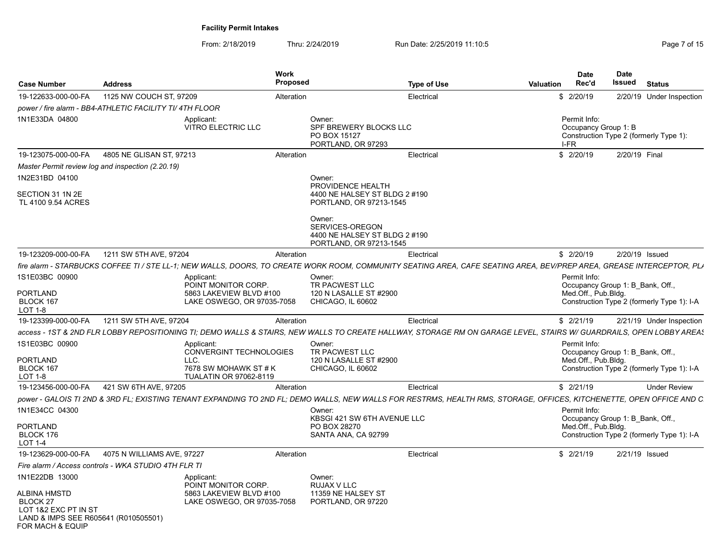| <b>Case Number</b>                                                                                                             | <b>Address</b>                                                                             | <b>Work</b><br>Proposed | <b>Type of Use</b>                                                                                                                                                                              | <b>Valuation</b> | Date<br>Rec'd                                | Date<br>Issued | <b>Status</b>                                                                  |
|--------------------------------------------------------------------------------------------------------------------------------|--------------------------------------------------------------------------------------------|-------------------------|-------------------------------------------------------------------------------------------------------------------------------------------------------------------------------------------------|------------------|----------------------------------------------|----------------|--------------------------------------------------------------------------------|
| 19-122633-000-00-FA                                                                                                            | 1125 NW COUCH ST, 97209                                                                    | Alteration              | Electrical                                                                                                                                                                                      |                  | \$2/20/19                                    |                | 2/20/19 Under Inspection                                                       |
|                                                                                                                                | power / fire alarm - BB4-ATHLETIC FACILITY TI/ 4TH FLOOR                                   |                         |                                                                                                                                                                                                 |                  |                                              |                |                                                                                |
| 1N1E33DA 04800                                                                                                                 | Applicant:<br>VITRO ELECTRIC LLC                                                           |                         | Owner:<br>SPF BREWERY BLOCKS LLC<br>PO BOX 15127<br>PORTLAND, OR 97293                                                                                                                          |                  | Permit Info:<br>Occupancy Group 1: B<br>I-FR |                | Construction Type 2 (formerly Type 1):                                         |
| 19-123075-000-00-FA                                                                                                            | 4805 NE GLISAN ST, 97213                                                                   | Alteration              | Electrical                                                                                                                                                                                      |                  | \$2/20/19                                    | 2/20/19 Final  |                                                                                |
| Master Permit review log and inspection (2.20.19)                                                                              |                                                                                            |                         |                                                                                                                                                                                                 |                  |                                              |                |                                                                                |
| 1N2E31BD 04100                                                                                                                 |                                                                                            |                         | Owner:                                                                                                                                                                                          |                  |                                              |                |                                                                                |
| SECTION 31 1N 2E<br>TL 4100 9.54 ACRES                                                                                         |                                                                                            |                         | PROVIDENCE HEALTH<br>4400 NE HALSEY ST BLDG 2 #190<br>PORTLAND, OR 97213-1545                                                                                                                   |                  |                                              |                |                                                                                |
|                                                                                                                                |                                                                                            |                         | Owner:<br>SERVICES-OREGON<br>4400 NE HALSEY ST BLDG 2 #190<br>PORTLAND, OR 97213-1545                                                                                                           |                  |                                              |                |                                                                                |
| 19-123209-000-00-FA                                                                                                            | 1211 SW 5TH AVE, 97204                                                                     | Alteration              | Electrical                                                                                                                                                                                      |                  | \$2/20/19                                    |                | 2/20/19 Issued                                                                 |
|                                                                                                                                |                                                                                            |                         | fire alarm - STARBUCKS COFFEE TI / STE LL-1; NEW WALLS, DOORS, TO CREATE WORK ROOM, COMMUNITY SEATING AREA, CAFE SEATING AREA, BEV/PREP AREA, GREASE INTERCEPTOR, PLA                           |                  |                                              |                |                                                                                |
| 1S1E03BC 00900<br><b>PORTLAND</b><br>BLOCK 167<br>LOT 1-8                                                                      | Applicant:<br>POINT MONITOR CORP.<br>5863 LAKEVIEW BLVD #100<br>LAKE OSWEGO, OR 97035-7058 |                         | Owner:<br>TR PACWEST LLC<br>120 N LASALLE ST #2900<br>CHICAGO, IL 60602                                                                                                                         |                  | Permit Info:<br>Med.Off., Pub.Bldg.          |                | Occupancy Group 1: B Bank, Off.,<br>Construction Type 2 (formerly Type 1): I-A |
| 19-123399-000-00-FA                                                                                                            | 1211 SW 5TH AVE, 97204                                                                     | Alteration              | Electrical                                                                                                                                                                                      |                  | \$2/21/19                                    |                | 2/21/19 Under Inspection                                                       |
|                                                                                                                                |                                                                                            |                         |                                                                                                                                                                                                 |                  |                                              |                |                                                                                |
| 1S1E03BC 00900                                                                                                                 | Applicant:<br>CONVERGINT TECHNOLOGIES                                                      |                         | access - 1ST & 2ND FLR LOBBY REPOSITIONING TI; DEMO WALLS & STAIRS, NEW WALLS TO CREATE HALLWAY, STORAGE RM ON GARAGE LEVEL, STAIRS W/ GUARDRAILS, OPEN LOBBY AREAS<br>Owner:<br>TR PACWEST LLC |                  | Permit Info:                                 |                | Occupancy Group 1: B Bank, Off.,                                               |
| <b>PORTLAND</b><br>BLOCK 167<br>LOT 1-8                                                                                        | LLC.<br>7678 SW MOHAWK ST # K<br><b>TUALATIN OR 97062-8119</b>                             |                         | 120 N LASALLE ST #2900<br>CHICAGO, IL 60602                                                                                                                                                     |                  | Med.Off., Pub.Bldg.                          |                | Construction Type 2 (formerly Type 1): I-A                                     |
| 19-123456-000-00-FA                                                                                                            | 421 SW 6TH AVE, 97205                                                                      | Alteration              | Electrical                                                                                                                                                                                      |                  | \$2/21/19                                    |                | <b>Under Review</b>                                                            |
|                                                                                                                                |                                                                                            |                         | power - GALOIS TI 2ND & 3RD FL; EXISTING TENANT EXPANDING TO 2ND FL; DEMO WALLS, NEW WALLS FOR RESTRMS, HEALTH RMS, STORAGE, OFFICES, KITCHENETTE, OPEN OFFICE AND C                            |                  |                                              |                |                                                                                |
| 1N1E34CC 04300                                                                                                                 |                                                                                            |                         | Owner:<br>KBSGI 421 SW 6TH AVENUE LLC                                                                                                                                                           |                  | Permit Info:                                 |                | Occupancy Group 1: B Bank, Off.,                                               |
| <b>PORTLAND</b><br>BLOCK 176<br>LOT 1-4                                                                                        |                                                                                            |                         | PO BOX 28270<br>SANTA ANA, CA 92799                                                                                                                                                             |                  | Med.Off., Pub.Bldg.                          |                | Construction Type 2 (formerly Type 1): I-A                                     |
| 19-123629-000-00-FA                                                                                                            | 4075 N WILLIAMS AVE, 97227                                                                 | Alteration              | Electrical                                                                                                                                                                                      |                  | \$2/21/19                                    |                | 2/21/19 Issued                                                                 |
|                                                                                                                                | Fire alarm / Access controls - WKA STUDIO 4TH FLR TI                                       |                         |                                                                                                                                                                                                 |                  |                                              |                |                                                                                |
| 1N1E22DB 13000                                                                                                                 | Applicant:<br>POINT MONITOR CORP.                                                          |                         | Owner:<br>RUJAX V LLC                                                                                                                                                                           |                  |                                              |                |                                                                                |
| <b>ALBINA HMSTD</b><br>BLOCK <sub>27</sub><br>LOT 1&2 EXC PT IN ST<br>LAND & IMPS SEE R605641 (R010505501)<br>FOR MACH & EQUIP | 5863 LAKEVIEW BLVD #100<br>LAKE OSWEGO, OR 97035-7058                                      |                         | 11359 NE HALSEY ST<br>PORTLAND, OR 97220                                                                                                                                                        |                  |                                              |                |                                                                                |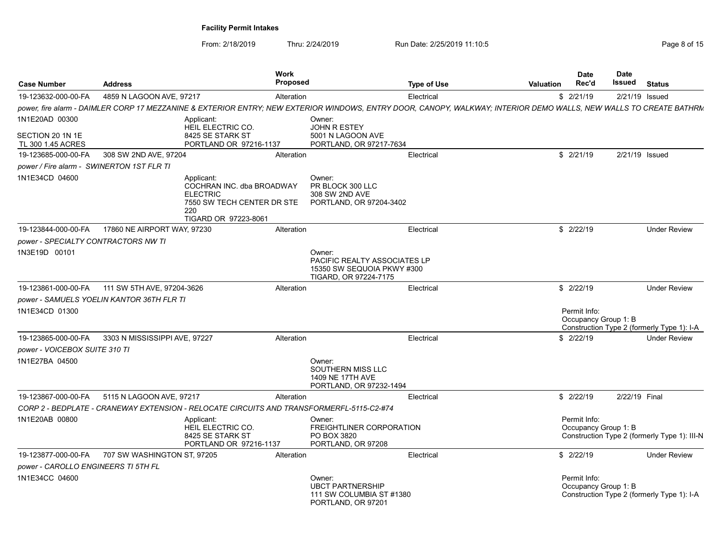| <b>Case Number</b>                        | <b>Address</b>                                  |                                                                                           | Work<br>Proposed |                                                                                                    | <b>Type of Use</b> | <b>Valuation</b>                                                                                                                                                   | <b>Date</b><br>Rec'd                 | Date<br><b>Issued</b> Status                 |
|-------------------------------------------|-------------------------------------------------|-------------------------------------------------------------------------------------------|------------------|----------------------------------------------------------------------------------------------------|--------------------|--------------------------------------------------------------------------------------------------------------------------------------------------------------------|--------------------------------------|----------------------------------------------|
| 19-123632-000-00-FA                       | 4859 N LAGOON AVE, 97217                        |                                                                                           | Alteration       |                                                                                                    | Electrical         |                                                                                                                                                                    | \$2/21/19                            | 2/21/19 Issued                               |
|                                           |                                                 |                                                                                           |                  |                                                                                                    |                    | power, fire alarm - DAIMLER CORP 17 MEZZANINE & EXTERIOR ENTRY; NEW EXTERIOR WINDOWS, ENTRY DOOR, CANOPY, WALKWAY; INTERIOR DEMO WALLS, NEW WALLS TO CREATE BATHRM |                                      |                                              |
| 1N1E20AD 00300<br>SECTION 20 1N 1E        |                                                 | Applicant:<br>HEIL ELECTRIC CO.<br>8425 SE STARK ST                                       |                  | Owner:<br>JOHN R ESTEY<br>5001 N LAGOON AVE                                                        |                    |                                                                                                                                                                    |                                      |                                              |
| TL 300 1.45 ACRES                         |                                                 | PORTLAND OR 97216-1137                                                                    |                  | PORTLAND, OR 97217-7634                                                                            |                    |                                                                                                                                                                    |                                      |                                              |
| 19-123685-000-00-FA                       | 308 SW 2ND AVE, 97204                           |                                                                                           | Alteration       |                                                                                                    | Electrical         |                                                                                                                                                                    | \$2/21/19                            | 2/21/19 Issued                               |
| power / Fire alarm - SWINERTON 1ST FLR TI |                                                 |                                                                                           |                  |                                                                                                    |                    |                                                                                                                                                                    |                                      |                                              |
| 1N1E34CD 04600                            |                                                 | Applicant:<br>COCHRAN INC. dba BROADWAY<br><b>ELECTRIC</b><br>220<br>TIGARD OR 97223-8061 |                  | Owner:<br>PR BLOCK 300 LLC<br>308 SW 2ND AVE<br>7550 SW TECH CENTER DR STE PORTLAND, OR 97204-3402 |                    |                                                                                                                                                                    |                                      |                                              |
|                                           | 19-123844-000-00-FA 17860 NE AIRPORT WAY, 97230 |                                                                                           | Alteration       |                                                                                                    | Electrical         |                                                                                                                                                                    | \$2/22/19                            | <b>Under Review</b>                          |
| power - SPECIALTY CONTRACTORS NW TI       |                                                 |                                                                                           |                  |                                                                                                    |                    |                                                                                                                                                                    |                                      |                                              |
| 1N3E19D 00101                             |                                                 |                                                                                           |                  | Owner:<br>PACIFIC REALTY ASSOCIATES LP<br>15350 SW SEQUOIA PKWY #300<br>TIGARD, OR 97224-7175      |                    |                                                                                                                                                                    |                                      |                                              |
| 19-123861-000-00-FA                       | 111 SW 5TH AVE, 97204-3626                      |                                                                                           | Alteration       |                                                                                                    | Electrical         |                                                                                                                                                                    | \$2/22/19                            | <b>Under Review</b>                          |
|                                           | power - SAMUELS YOELIN KANTOR 36TH FLR TI       |                                                                                           |                  |                                                                                                    |                    |                                                                                                                                                                    |                                      |                                              |
| 1N1E34CD 01300                            |                                                 |                                                                                           |                  |                                                                                                    |                    |                                                                                                                                                                    | Permit Info:<br>Occupancy Group 1: B | Construction Type 2 (formerly Type 1): I-A   |
| 19-123865-000-00-FA                       | 3303 N MISSISSIPPI AVE, 97227                   |                                                                                           | Alteration       |                                                                                                    | Electrical         |                                                                                                                                                                    | \$2/22/19                            | <b>Under Review</b>                          |
| power - VOICEBOX SUITE 310 TI             |                                                 |                                                                                           |                  |                                                                                                    |                    |                                                                                                                                                                    |                                      |                                              |
| 1N1E27BA 04500                            |                                                 |                                                                                           |                  | Owner:<br>SOUTHERN MISS LLC<br>1409 NE 17TH AVE<br>PORTLAND, OR 97232-1494                         |                    |                                                                                                                                                                    |                                      |                                              |
| 19-123867-000-00-FA                       | 5115 N LAGOON AVE, 97217                        |                                                                                           | Alteration       |                                                                                                    | Electrical         |                                                                                                                                                                    | \$2/22/19                            | 2/22/19 Final                                |
|                                           |                                                 |                                                                                           |                  | CORP 2 - BEDPLATE - CRANEWAY EXTENSION - RELOCATE CIRCUITS AND TRANSFORMERFL-5115-C2-#74           |                    |                                                                                                                                                                    |                                      |                                              |
| 1N1E20AB 00800                            |                                                 | Applicant:<br>HEIL ELECTRIC CO.<br>8425 SE STARK ST<br>PORTLAND OR 97216-1137             |                  | Owner:<br>FREIGHTLINER CORPORATION<br>PO BOX 3820<br>PORTLAND, OR 97208                            |                    |                                                                                                                                                                    | Permit Info:<br>Occupancy Group 1: B | Construction Type 2 (formerly Type 1): III-N |
| power - CAROLLO ENGINEERS TI 5TH FL       | 19-123877-000-00-FA 707 SW WASHINGTON ST, 97205 |                                                                                           | Alteration       |                                                                                                    | Electrical         |                                                                                                                                                                    | \$2/22/19                            | <b>Under Review</b>                          |
| 1N1E34CC 04600                            |                                                 |                                                                                           |                  | Owner:<br><b>UBCT PARTNERSHIP</b><br>111 SW COLUMBIA ST #1380<br>PORTLAND, OR 97201                |                    |                                                                                                                                                                    | Permit Info:<br>Occupancy Group 1: B | Construction Type 2 (formerly Type 1): I-A   |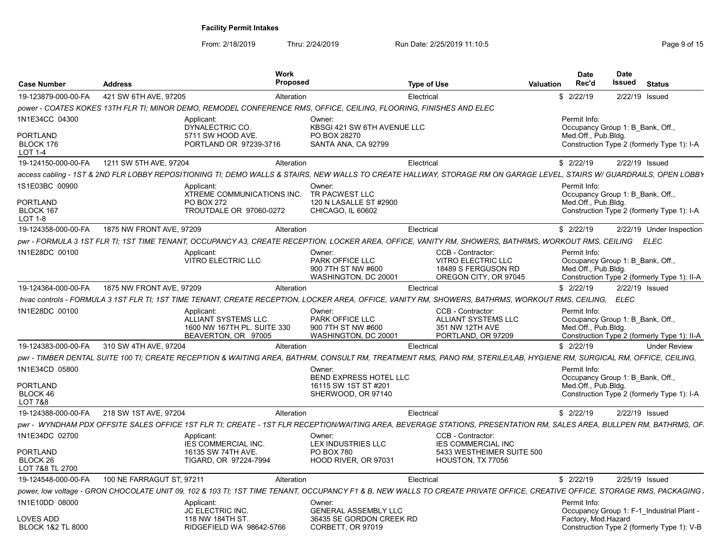| 421 SW 6TH AVE, 97205<br>2/22/19 Issued<br>19-123879-000-00-FA<br>Alteration<br>\$2/22/19<br>Electrical<br>power - COATES KOKES 13TH FLR TI; MINOR DEMO, REMODEL CONFERENCE RMS, OFFICE, CEILING, FLOORING, FINISHES AND ELEC<br>1N1E34CC 04300<br>Permit Info:<br>Applicant:<br>Owner:<br>DYNALECTRIC CO.<br>KBSGI 421 SW 6TH AVENUE LLC<br>Occupancy Group 1: B Bank, Off.,<br><b>PORTLAND</b><br>5711 SW HOOD AVE.<br>PO BOX 28270<br>Med.Off., Pub.Bldg.<br>BLOCK 176<br>PORTLAND OR 97239-3716<br>SANTA ANA, CA 92799<br><b>LOT 1-4</b><br>1211 SW 5TH AVE, 97204<br>2/22/19 Issued<br>19-124150-000-00-FA<br>Alteration<br>Electrical<br>\$2/22/19<br>1S1E03BC 00900<br>Permit Info:<br>Applicant:<br>Owner:<br>XTREME COMMUNICATIONS INC.<br>TR PACWEST LLC<br>Occupancy Group 1: B Bank, Off.,<br><b>PO BOX 272</b><br>120 N LASALLE ST #2900<br>Med.Off., Pub.Bldg.<br>BLOCK 167<br>TROUTDALE OR 97060-0272<br>CHICAGO, IL 60602<br>LOT 1-8<br>19-124358-000-00-FA<br>1875 NW FRONT AVE, 97209<br>\$2/22/19<br>Electrical<br>Alteration<br>CCB - Contractor:<br>Applicant:<br>Owner:<br>Permit Info:<br>VITRO ELECTRIC LLC<br>PARK OFFICE LLC<br>VITRO ELECTRIC LLC<br>Occupancy Group 1: B_Bank, Off.,<br>Med.Off., Pub.Bldg.<br>900 7TH ST NW #600<br>18489 S FERGUSON RD<br>WASHINGTON, DC 20001<br>OREGON CITY, OR 97045<br>1875 NW FRONT AVE, 97209<br>Electrical<br>\$2/22/19<br>2/22/19 Issued<br>19-124364-000-00-FA<br>Alteration<br>hvac controls - FORMULA 3 1ST FLR TI; 1ST TIME TENANT, CREATE RECEPTION, LOCKER AREA, OFFICE, VANITY RM, SHOWERS, BATHRMS, WORKOUT RMS, CEILING, ELEC<br>1N1E28DC 00100<br>CCB - Contractor:<br>Permit Info:<br>Applicant:<br>Owner:<br>ALLIANT SYSTEMS LLC.<br>PARK OFFICE LLC<br><b>ALLIANT SYSTEMS LLC</b><br>Occupancy Group 1: B Bank, Off.,<br>351 NW 12TH AVE<br>Med.Off., Pub.Bldg.<br>1600 NW 167TH PL. SUITE 330<br>900 7TH ST NW #600<br>BEAVERTON, OR 97005<br>WASHINGTON, DC 20001<br>PORTLAND, OR 97209<br>19-124383-000-00-FA<br>310 SW 4TH AVE, 97204<br>Electrical<br>\$2/22/19<br>Alteration<br><b>Under Review</b><br>Permit Info:<br>Owner:<br>BEND EXPRESS HOTEL LLC<br>Occupancy Group 1: B Bank, Off.,<br>16115 SW 1ST ST #201<br>Med.Off., Pub.Blda.<br>BLOCK 46<br>SHERWOOD, OR 97140<br><b>LOT 7&amp;8</b><br>19-124388-000-00-FA<br>218 SW 1ST AVE, 97204<br>Electrica<br>\$2/22/19<br>2/22/19 Issued<br>Alteration<br>1N1E34DC 02700<br>CCB - Contractor:<br>Applicant:<br>Owner:<br>IES COMMERCIAL INC.<br><b>IES COMMERCIAL INC</b><br>LEX INDUSTRIES LLC<br>PORTLAND<br>16135 SW 74TH AVE.<br>PO BOX 780<br>5433 WESTHEIMER SUITE 500<br>BLOCK 26<br>HOOD RIVER, OR 97031<br>HOUSTON, TX 77056<br>TIGARD, OR 97224-7994<br>LOT 7&8 TL 2700<br>2/25/19 Issued | <b>Case Number</b>  | <b>Address</b>            | <b>Work</b><br><b>Proposed</b> | Type of Use | <b>Date</b><br>Rec'd<br>Valuation | <b>Date</b><br>Issued | <b>Status</b> |
|----------------------------------------------------------------------------------------------------------------------------------------------------------------------------------------------------------------------------------------------------------------------------------------------------------------------------------------------------------------------------------------------------------------------------------------------------------------------------------------------------------------------------------------------------------------------------------------------------------------------------------------------------------------------------------------------------------------------------------------------------------------------------------------------------------------------------------------------------------------------------------------------------------------------------------------------------------------------------------------------------------------------------------------------------------------------------------------------------------------------------------------------------------------------------------------------------------------------------------------------------------------------------------------------------------------------------------------------------------------------------------------------------------------------------------------------------------------------------------------------------------------------------------------------------------------------------------------------------------------------------------------------------------------------------------------------------------------------------------------------------------------------------------------------------------------------------------------------------------------------------------------------------------------------------------------------------------------------------------------------------------------------------------------------------------------------------------------------------------------------------------------------------------------------------------------------------------------------------------------------------------------------------------------------------------------------------------------------------------------------------------------------------------------------------------------------------------------------------------------------------------------------------------------------------------------------------------------------------------------------------------------------------------------------------------------------------------------------------------------------------|---------------------|---------------------------|--------------------------------|-------------|-----------------------------------|-----------------------|---------------|
| Construction Type 2 (formerly Type 1): I-A<br>access cabling - 1ST & 2ND FLR LOBBY REPOSITIONING TI: DEMO WALLS & STAIRS. NEW WALLS TO CREATE HALLWAY. STORAGE RM ON GARAGE LEVEL. STAIRS W/ GUARDRAILS. OPEN LOBBY<br>Construction Type 2 (formerly Type 1): I-A<br>2/22/19 Under Inspection<br>Construction Type 2 (formerly Type 1): II-A<br>Construction Type 2 (formerly Type 1): II-A<br>Construction Type 2 (formerly Type 1): I-A                                                                                                                                                                                                                                                                                                                                                                                                                                                                                                                                                                                                                                                                                                                                                                                                                                                                                                                                                                                                                                                                                                                                                                                                                                                                                                                                                                                                                                                                                                                                                                                                                                                                                                                                                                                                                                                                                                                                                                                                                                                                                                                                                                                                                                                                                                          |                     |                           |                                |             |                                   |                       |               |
| <b>PORTLAND</b><br>pwr - FORMULA 3 1ST FLR TI; 1ST TIME TENANT, OCCUPANCY A3, CREATE RECEPTION, LOCKER AREA, OFFICE, VANITY RM, SHOWERS, BATHRMS, WORKOUT RMS, CEILING ELEC<br>1N1E28DC 00100<br>pwr - TIMBER DENTAL SUITE 100 TI; CREATE RECEPTION & WAITING AREA, BATHRM, CONSULT RM, TREATMENT RMS, PANO RM, STERILE/LAB, HYGIENE RM, SURGICAL RM, OFFICE, CEILING,<br>1N1E34CD 05800<br>pwr - WYNDHAM PDX OFFSITE SALES OFFICE 1ST FLR TI; CREATE - 1ST FLR RECEPTION/WAITING AREA, BEVERAGE STATIONS, PRESENTATION RM, SALES AREA, BULLPEN RM, BATHRMS, OF                                                                                                                                                                                                                                                                                                                                                                                                                                                                                                                                                                                                                                                                                                                                                                                                                                                                                                                                                                                                                                                                                                                                                                                                                                                                                                                                                                                                                                                                                                                                                                                                                                                                                                                                                                                                                                                                                                                                                                                                                                                                                                                                                                                    |                     |                           |                                |             |                                   |                       |               |
| PORTLAND                                                                                                                                                                                                                                                                                                                                                                                                                                                                                                                                                                                                                                                                                                                                                                                                                                                                                                                                                                                                                                                                                                                                                                                                                                                                                                                                                                                                                                                                                                                                                                                                                                                                                                                                                                                                                                                                                                                                                                                                                                                                                                                                                                                                                                                                                                                                                                                                                                                                                                                                                                                                                                                                                                                                           |                     |                           |                                |             |                                   |                       |               |
|                                                                                                                                                                                                                                                                                                                                                                                                                                                                                                                                                                                                                                                                                                                                                                                                                                                                                                                                                                                                                                                                                                                                                                                                                                                                                                                                                                                                                                                                                                                                                                                                                                                                                                                                                                                                                                                                                                                                                                                                                                                                                                                                                                                                                                                                                                                                                                                                                                                                                                                                                                                                                                                                                                                                                    |                     |                           |                                |             |                                   |                       |               |
|                                                                                                                                                                                                                                                                                                                                                                                                                                                                                                                                                                                                                                                                                                                                                                                                                                                                                                                                                                                                                                                                                                                                                                                                                                                                                                                                                                                                                                                                                                                                                                                                                                                                                                                                                                                                                                                                                                                                                                                                                                                                                                                                                                                                                                                                                                                                                                                                                                                                                                                                                                                                                                                                                                                                                    |                     |                           |                                |             |                                   |                       |               |
|                                                                                                                                                                                                                                                                                                                                                                                                                                                                                                                                                                                                                                                                                                                                                                                                                                                                                                                                                                                                                                                                                                                                                                                                                                                                                                                                                                                                                                                                                                                                                                                                                                                                                                                                                                                                                                                                                                                                                                                                                                                                                                                                                                                                                                                                                                                                                                                                                                                                                                                                                                                                                                                                                                                                                    |                     |                           |                                |             |                                   |                       |               |
|                                                                                                                                                                                                                                                                                                                                                                                                                                                                                                                                                                                                                                                                                                                                                                                                                                                                                                                                                                                                                                                                                                                                                                                                                                                                                                                                                                                                                                                                                                                                                                                                                                                                                                                                                                                                                                                                                                                                                                                                                                                                                                                                                                                                                                                                                                                                                                                                                                                                                                                                                                                                                                                                                                                                                    |                     |                           |                                |             |                                   |                       |               |
|                                                                                                                                                                                                                                                                                                                                                                                                                                                                                                                                                                                                                                                                                                                                                                                                                                                                                                                                                                                                                                                                                                                                                                                                                                                                                                                                                                                                                                                                                                                                                                                                                                                                                                                                                                                                                                                                                                                                                                                                                                                                                                                                                                                                                                                                                                                                                                                                                                                                                                                                                                                                                                                                                                                                                    |                     |                           |                                |             |                                   |                       |               |
|                                                                                                                                                                                                                                                                                                                                                                                                                                                                                                                                                                                                                                                                                                                                                                                                                                                                                                                                                                                                                                                                                                                                                                                                                                                                                                                                                                                                                                                                                                                                                                                                                                                                                                                                                                                                                                                                                                                                                                                                                                                                                                                                                                                                                                                                                                                                                                                                                                                                                                                                                                                                                                                                                                                                                    |                     |                           |                                |             |                                   |                       |               |
|                                                                                                                                                                                                                                                                                                                                                                                                                                                                                                                                                                                                                                                                                                                                                                                                                                                                                                                                                                                                                                                                                                                                                                                                                                                                                                                                                                                                                                                                                                                                                                                                                                                                                                                                                                                                                                                                                                                                                                                                                                                                                                                                                                                                                                                                                                                                                                                                                                                                                                                                                                                                                                                                                                                                                    |                     |                           |                                |             |                                   |                       |               |
|                                                                                                                                                                                                                                                                                                                                                                                                                                                                                                                                                                                                                                                                                                                                                                                                                                                                                                                                                                                                                                                                                                                                                                                                                                                                                                                                                                                                                                                                                                                                                                                                                                                                                                                                                                                                                                                                                                                                                                                                                                                                                                                                                                                                                                                                                                                                                                                                                                                                                                                                                                                                                                                                                                                                                    |                     |                           |                                |             |                                   |                       |               |
|                                                                                                                                                                                                                                                                                                                                                                                                                                                                                                                                                                                                                                                                                                                                                                                                                                                                                                                                                                                                                                                                                                                                                                                                                                                                                                                                                                                                                                                                                                                                                                                                                                                                                                                                                                                                                                                                                                                                                                                                                                                                                                                                                                                                                                                                                                                                                                                                                                                                                                                                                                                                                                                                                                                                                    |                     |                           |                                |             |                                   |                       |               |
|                                                                                                                                                                                                                                                                                                                                                                                                                                                                                                                                                                                                                                                                                                                                                                                                                                                                                                                                                                                                                                                                                                                                                                                                                                                                                                                                                                                                                                                                                                                                                                                                                                                                                                                                                                                                                                                                                                                                                                                                                                                                                                                                                                                                                                                                                                                                                                                                                                                                                                                                                                                                                                                                                                                                                    |                     |                           |                                |             |                                   |                       |               |
|                                                                                                                                                                                                                                                                                                                                                                                                                                                                                                                                                                                                                                                                                                                                                                                                                                                                                                                                                                                                                                                                                                                                                                                                                                                                                                                                                                                                                                                                                                                                                                                                                                                                                                                                                                                                                                                                                                                                                                                                                                                                                                                                                                                                                                                                                                                                                                                                                                                                                                                                                                                                                                                                                                                                                    |                     |                           |                                |             |                                   |                       |               |
|                                                                                                                                                                                                                                                                                                                                                                                                                                                                                                                                                                                                                                                                                                                                                                                                                                                                                                                                                                                                                                                                                                                                                                                                                                                                                                                                                                                                                                                                                                                                                                                                                                                                                                                                                                                                                                                                                                                                                                                                                                                                                                                                                                                                                                                                                                                                                                                                                                                                                                                                                                                                                                                                                                                                                    |                     |                           |                                |             |                                   |                       |               |
|                                                                                                                                                                                                                                                                                                                                                                                                                                                                                                                                                                                                                                                                                                                                                                                                                                                                                                                                                                                                                                                                                                                                                                                                                                                                                                                                                                                                                                                                                                                                                                                                                                                                                                                                                                                                                                                                                                                                                                                                                                                                                                                                                                                                                                                                                                                                                                                                                                                                                                                                                                                                                                                                                                                                                    |                     |                           |                                |             |                                   |                       |               |
|                                                                                                                                                                                                                                                                                                                                                                                                                                                                                                                                                                                                                                                                                                                                                                                                                                                                                                                                                                                                                                                                                                                                                                                                                                                                                                                                                                                                                                                                                                                                                                                                                                                                                                                                                                                                                                                                                                                                                                                                                                                                                                                                                                                                                                                                                                                                                                                                                                                                                                                                                                                                                                                                                                                                                    |                     |                           |                                |             |                                   |                       |               |
|                                                                                                                                                                                                                                                                                                                                                                                                                                                                                                                                                                                                                                                                                                                                                                                                                                                                                                                                                                                                                                                                                                                                                                                                                                                                                                                                                                                                                                                                                                                                                                                                                                                                                                                                                                                                                                                                                                                                                                                                                                                                                                                                                                                                                                                                                                                                                                                                                                                                                                                                                                                                                                                                                                                                                    |                     |                           |                                |             |                                   |                       |               |
|                                                                                                                                                                                                                                                                                                                                                                                                                                                                                                                                                                                                                                                                                                                                                                                                                                                                                                                                                                                                                                                                                                                                                                                                                                                                                                                                                                                                                                                                                                                                                                                                                                                                                                                                                                                                                                                                                                                                                                                                                                                                                                                                                                                                                                                                                                                                                                                                                                                                                                                                                                                                                                                                                                                                                    |                     |                           |                                |             |                                   |                       |               |
|                                                                                                                                                                                                                                                                                                                                                                                                                                                                                                                                                                                                                                                                                                                                                                                                                                                                                                                                                                                                                                                                                                                                                                                                                                                                                                                                                                                                                                                                                                                                                                                                                                                                                                                                                                                                                                                                                                                                                                                                                                                                                                                                                                                                                                                                                                                                                                                                                                                                                                                                                                                                                                                                                                                                                    |                     |                           |                                |             |                                   |                       |               |
|                                                                                                                                                                                                                                                                                                                                                                                                                                                                                                                                                                                                                                                                                                                                                                                                                                                                                                                                                                                                                                                                                                                                                                                                                                                                                                                                                                                                                                                                                                                                                                                                                                                                                                                                                                                                                                                                                                                                                                                                                                                                                                                                                                                                                                                                                                                                                                                                                                                                                                                                                                                                                                                                                                                                                    | 19-124548-000-00-FA | 100 NE FARRAGUT ST. 97211 | Alteration                     | Electrical  | \$2/22/19                         |                       |               |
| power, low voltage - GRON CHOCOLATE UNIT 09, 102 & 103 TI; 1ST TIME TENANT, OCCUPANCY F1 & B, NEW WALLS TO CREATE PRIVATE OFFICE, CREATIVE OFFICE, STORAGE RMS, PACKAGING.                                                                                                                                                                                                                                                                                                                                                                                                                                                                                                                                                                                                                                                                                                                                                                                                                                                                                                                                                                                                                                                                                                                                                                                                                                                                                                                                                                                                                                                                                                                                                                                                                                                                                                                                                                                                                                                                                                                                                                                                                                                                                                                                                                                                                                                                                                                                                                                                                                                                                                                                                                         |                     |                           |                                |             |                                   |                       |               |
| 1N1E10DD 08000<br>Permit Info:<br>Applicant:<br>Owner:<br>JC ELECTRIC INC.<br>GENERAL ASSEMBLY LLC<br>Occupancy Group 1: F-1_Industrial Plant -<br><b>LOVES ADD</b><br>118 NW 184TH ST<br>36435 SE GORDON CREEK RD<br>Factory, Mod.Hazard<br><b>BLOCK 1&amp;2 TL 8000</b><br>RIDGEFIELD WA 98642-5766<br>CORBETT, OR 97019<br>Construction Type 2 (formerly Type 1): V-B                                                                                                                                                                                                                                                                                                                                                                                                                                                                                                                                                                                                                                                                                                                                                                                                                                                                                                                                                                                                                                                                                                                                                                                                                                                                                                                                                                                                                                                                                                                                                                                                                                                                                                                                                                                                                                                                                                                                                                                                                                                                                                                                                                                                                                                                                                                                                                           |                     |                           |                                |             |                                   |                       |               |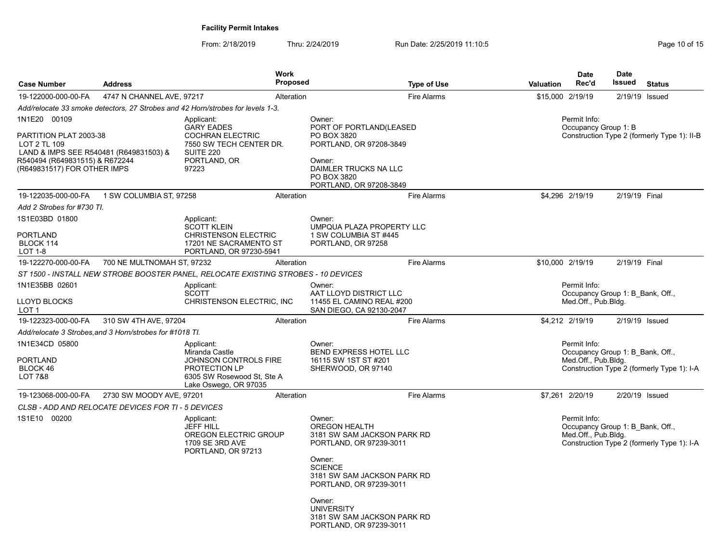| <b>Case Number</b>                                                                                                                                                | <b>Address</b>                                           | Work                                                                                                                                 | <b>Proposed</b>                                                                    | <b>Type of Use</b>                                                                                                                                                         | Valuation        | <b>Date</b><br>Rec'd                                                    | Date<br>Issued | <b>Status</b>                               |
|-------------------------------------------------------------------------------------------------------------------------------------------------------------------|----------------------------------------------------------|--------------------------------------------------------------------------------------------------------------------------------------|------------------------------------------------------------------------------------|----------------------------------------------------------------------------------------------------------------------------------------------------------------------------|------------------|-------------------------------------------------------------------------|----------------|---------------------------------------------|
| 19-122000-000-00-FA                                                                                                                                               | 4747 N CHANNEL AVE, 97217                                | Alteration                                                                                                                           |                                                                                    | <b>Fire Alarms</b>                                                                                                                                                         | \$15,000 2/19/19 |                                                                         |                | 2/19/19 Issued                              |
|                                                                                                                                                                   |                                                          | Add/relocate 33 smoke detectors, 27 Strobes and 42 Horn/strobes for levels 1-3.                                                      |                                                                                    |                                                                                                                                                                            |                  |                                                                         |                |                                             |
| 1N1E20 00109<br>PARTITION PLAT 2003-38<br>LOT 2 TL 109<br>LAND & IMPS SEE R540481 (R649831503) &<br>R540494 (R649831515) & R672244<br>(R649831517) FOR OTHER IMPS |                                                          | Applicant:<br><b>GARY EADES</b><br><b>COCHRAN ELECTRIC</b><br>7550 SW TECH CENTER DR.<br><b>SUITE 220</b><br>PORTLAND, OR<br>97223   | Owner:<br>PO BOX 3820<br>Owner:<br>PO BOX 3820                                     | PORT OF PORTLAND(LEASED<br>PORTLAND, OR 97208-3849<br>DAIMLER TRUCKS NA LLC<br>PORTLAND, OR 97208-3849                                                                     |                  | Permit Info:<br>Occupancy Group 1: B                                    |                | Construction Type 2 (formerly Type 1): II-B |
| 19-122035-000-00-FA                                                                                                                                               | 1 SW COLUMBIA ST, 97258                                  | Alteration                                                                                                                           |                                                                                    | <b>Fire Alarms</b>                                                                                                                                                         |                  | \$4,296 2/19/19                                                         | 2/19/19 Final  |                                             |
| Add 2 Strobes for #730 TI.                                                                                                                                        |                                                          |                                                                                                                                      |                                                                                    |                                                                                                                                                                            |                  |                                                                         |                |                                             |
| 1S1E03BD 01800<br>PORTLAND<br>BLOCK 114<br>LOT 1-8                                                                                                                |                                                          | Applicant:<br><b>SCOTT KLEIN</b><br><b>CHRISTENSON ELECTRIC</b><br>17201 NE SACRAMENTO ST<br>PORTLAND, OR 97230-5941                 | Owner:<br>PORTLAND, OR 97258                                                       | UMPQUA PLAZA PROPERTY LLC<br>1 SW COLUMBIA ST #445                                                                                                                         |                  |                                                                         |                |                                             |
| 19-122270-000-00-FA                                                                                                                                               | 700 NE MULTNOMAH ST, 97232                               | Alteration                                                                                                                           |                                                                                    | <b>Fire Alarms</b>                                                                                                                                                         | \$10,000 2/19/19 |                                                                         | 2/19/19 Final  |                                             |
|                                                                                                                                                                   |                                                          | ST 1500 - INSTALL NEW STROBE BOOSTER PANEL, RELOCATE EXISTING STROBES - 10 DEVICES                                                   |                                                                                    |                                                                                                                                                                            |                  |                                                                         |                |                                             |
| 1N1E35BB 02601<br>LLOYD BLOCKS<br>LOT <sub>1</sub>                                                                                                                |                                                          | Applicant:<br><b>SCOTT</b><br>CHRISTENSON ELECTRIC, INC                                                                              | Owner:                                                                             | AAT LLOYD DISTRICT LLC<br>11455 EL CAMINO REAL #200<br>SAN DIEGO, CA 92130-2047                                                                                            |                  | Permit Info:<br>Occupancy Group 1: B Bank, Off.,<br>Med.Off., Pub.Bldg. |                |                                             |
| 19-122323-000-00-FA                                                                                                                                               | 310 SW 4TH AVE, 97204                                    | Alteration                                                                                                                           |                                                                                    | <b>Fire Alarms</b>                                                                                                                                                         |                  | \$4,212 2/19/19                                                         |                | 2/19/19 Issued                              |
|                                                                                                                                                                   | Add/relocate 3 Strobes, and 3 Horn/strobes for #1018 TI. |                                                                                                                                      |                                                                                    |                                                                                                                                                                            |                  |                                                                         |                |                                             |
| 1N1E34CD 05800<br>PORTLAND<br>BLOCK 46<br>LOT 7&8                                                                                                                 |                                                          | Applicant:<br>Miranda Castle<br>JOHNSON CONTROLS FIRE<br><b>PROTECTION LP</b><br>6305 SW Rosewood St, Ste A<br>Lake Oswego, OR 97035 | Owner:<br>16115 SW 1ST ST #201                                                     | <b>BEND EXPRESS HOTEL LLC</b><br>SHERWOOD, OR 97140                                                                                                                        |                  | Permit Info:<br>Occupancy Group 1: B Bank, Off.,<br>Med.Off., Pub.Bldg. |                | Construction Type 2 (formerly Type 1): I-A  |
| 19-123068-000-00-FA                                                                                                                                               | 2730 SW MOODY AVE, 97201                                 | Alteration                                                                                                                           |                                                                                    | <b>Fire Alarms</b>                                                                                                                                                         |                  | \$7,261 2/20/19                                                         |                | 2/20/19 Issued                              |
|                                                                                                                                                                   | CLSB - ADD AND RELOCATE DEVICES FOR TI - 5 DEVICES       |                                                                                                                                      |                                                                                    |                                                                                                                                                                            |                  |                                                                         |                |                                             |
| 1S1E10 00200                                                                                                                                                      |                                                          | Applicant:<br><b>JEFF HILL</b><br>OREGON ELECTRIC GROUP<br>1709 SE 3RD AVE<br>PORTLAND, OR 97213                                     | Owner:<br>OREGON HEALTH<br>Owner:<br><b>SCIENCE</b><br>Owner:<br><b>UNIVERSITY</b> | 3181 SW SAM JACKSON PARK RD<br>PORTLAND, OR 97239-3011<br>3181 SW SAM JACKSON PARK RD<br>PORTLAND, OR 97239-3011<br>3181 SW SAM JACKSON PARK RD<br>PORTLAND, OR 97239-3011 |                  | Permit Info:<br>Occupancy Group 1: B Bank, Off.,<br>Med.Off., Pub.Bldg. |                | Construction Type 2 (formerly Type 1): I-A  |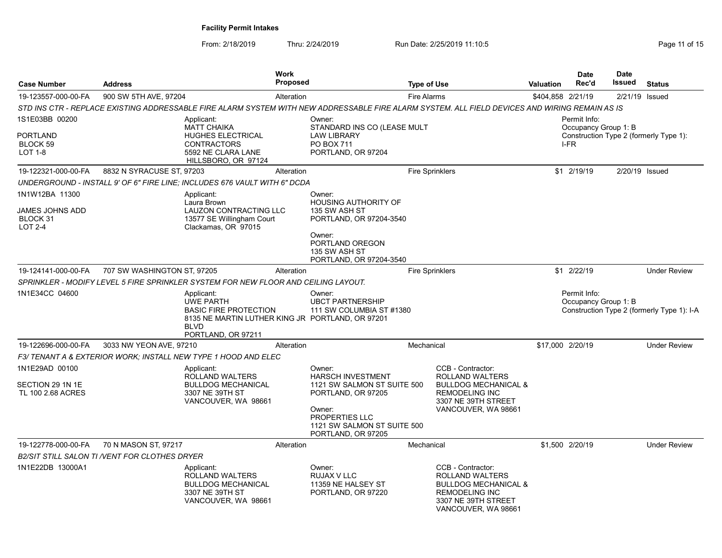| <b>Case Number</b>                                              | <b>Address</b>                                |                                                                                                                                                         | <b>Work</b><br><b>Proposed</b> |                                                                                                                                                                          | <b>Type of Use</b>                                                                                                                             | <b>Valuation</b>  | <b>Date</b><br>Rec'd                         | <b>Date</b><br>Issued | <b>Status</b>                              |
|-----------------------------------------------------------------|-----------------------------------------------|---------------------------------------------------------------------------------------------------------------------------------------------------------|--------------------------------|--------------------------------------------------------------------------------------------------------------------------------------------------------------------------|------------------------------------------------------------------------------------------------------------------------------------------------|-------------------|----------------------------------------------|-----------------------|--------------------------------------------|
| 19-123557-000-00-FA                                             | 900 SW 5TH AVE, 97204                         |                                                                                                                                                         | Alteration                     |                                                                                                                                                                          | <b>Fire Alarms</b>                                                                                                                             | \$404,858 2/21/19 |                                              | 2/21/19 Issued        |                                            |
|                                                                 |                                               |                                                                                                                                                         |                                | STD INS CTR - REPLACE EXISTING ADDRESSABLE FIRE ALARM SYSTEM WITH NEW ADDRESSABLE FIRE ALARM SYSTEM. ALL FIELD DEVICES AND WIRING REMAIN AS IS                           |                                                                                                                                                |                   |                                              |                       |                                            |
| 1S1E03BB 00200<br>PORTLAND<br>BLOCK 59<br>LOT 1-8               |                                               | Applicant:<br><b>MATT CHAIKA</b><br><b>HUGHES ELECTRICAL</b><br><b>CONTRACTORS</b><br>5592 NE CLARA LANE<br>HILLSBORO, OR 97124                         |                                | Owner:<br>STANDARD INS CO (LEASE MULT<br><b>LAW LIBRARY</b><br>PO BOX 711<br>PORTLAND, OR 97204                                                                          |                                                                                                                                                |                   | Permit Info:<br>Occupancy Group 1: B<br>I-FR |                       | Construction Type 2 (formerly Type 1):     |
| 19-122321-000-00-FA                                             | 8832 N SYRACUSE ST, 97203                     |                                                                                                                                                         | Alteration                     |                                                                                                                                                                          | <b>Fire Sprinklers</b>                                                                                                                         |                   | \$1 2/19/19                                  | 2/20/19 Issued        |                                            |
|                                                                 |                                               | UNDERGROUND - INSTALL 9' OF 6" FIRE LINE; INCLUDES 676 VAULT WITH 6" DCDA                                                                               |                                |                                                                                                                                                                          |                                                                                                                                                |                   |                                              |                       |                                            |
| 1N1W12BA 11300<br>JAMES JOHNS ADD<br>BLOCK 31<br><b>LOT 2-4</b> |                                               | Applicant:<br>Laura Brown<br>LAUZON CONTRACTING LLC<br>13577 SE Willingham Court<br>Clackamas, OR 97015                                                 |                                | Owner:<br><b>HOUSING AUTHORITY OF</b><br>135 SW ASH ST<br>PORTLAND, OR 97204-3540<br>Owner:<br>PORTLAND OREGON<br>135 SW ASH ST<br>PORTLAND, OR 97204-3540               |                                                                                                                                                |                   |                                              |                       |                                            |
| 19-124141-000-00-FA                                             | 707 SW WASHINGTON ST, 97205                   |                                                                                                                                                         | Alteration                     |                                                                                                                                                                          | <b>Fire Sprinklers</b>                                                                                                                         |                   | \$1 2/22/19                                  |                       | <b>Under Review</b>                        |
|                                                                 |                                               | SPRINKLER - MODIFY LEVEL 5 FIRE SPRINKLER SYSTEM FOR NEW FLOOR AND CEILING LAYOUT.                                                                      |                                |                                                                                                                                                                          |                                                                                                                                                |                   |                                              |                       |                                            |
| 1N1E34CC 04600                                                  |                                               | Applicant:<br><b>UWE PARTH</b><br><b>BASIC FIRE PROTECTION</b><br>8135 NE MARTIN LUTHER KING JR PORTLAND, OR 97201<br><b>BLVD</b><br>PORTLAND, OR 97211 |                                | Owner:<br><b>UBCT PARTNERSHIP</b><br>111 SW COLUMBIA ST #1380                                                                                                            |                                                                                                                                                |                   | Permit Info:<br>Occupancy Group 1: B         |                       | Construction Type 2 (formerly Type 1): I-A |
| 19-122696-000-00-FA                                             | 3033 NW YEON AVE, 97210                       |                                                                                                                                                         | Alteration                     |                                                                                                                                                                          | Mechanical                                                                                                                                     |                   | \$17,000 2/20/19                             |                       | <b>Under Review</b>                        |
|                                                                 |                                               | F3/ TENANT A & EXTERIOR WORK; INSTALL NEW TYPE 1 HOOD AND ELEC                                                                                          |                                |                                                                                                                                                                          |                                                                                                                                                |                   |                                              |                       |                                            |
| 1N1E29AD 00100<br>SECTION 29 1N 1E<br>TL 100 2.68 ACRES         |                                               | Applicant:<br>ROLLAND WALTERS<br><b>BULLDOG MECHANICAL</b><br>3307 NE 39TH ST<br>VANCOUVER, WA 98661                                                    |                                | Owner:<br><b>HARSCH INVESTMENT</b><br>1121 SW SALMON ST SUITE 500<br>PORTLAND, OR 97205<br>Owner:<br>PROPERTIES LLC<br>1121 SW SALMON ST SUITE 500<br>PORTLAND, OR 97205 | CCB - Contractor:<br>ROLLAND WALTERS<br><b>BULLDOG MECHANICAL &amp;</b><br>REMODELING INC<br>3307 NE 39TH STREET<br>VANCOUVER, WA 98661        |                   |                                              |                       |                                            |
| 19-122778-000-00-FA                                             | 70 N MASON ST, 97217                          |                                                                                                                                                         | Alteration                     |                                                                                                                                                                          | Mechanical                                                                                                                                     |                   | \$1,500 2/20/19                              |                       | <b>Under Review</b>                        |
|                                                                 | B2/SIT STILL SALON TI /VENT FOR CLOTHES DRYER |                                                                                                                                                         |                                |                                                                                                                                                                          |                                                                                                                                                |                   |                                              |                       |                                            |
| 1N1E22DB 13000A1                                                |                                               | Applicant:<br>ROLLAND WALTERS<br><b>BULLDOG MECHANICAL</b><br>3307 NE 39TH ST<br>VANCOUVER, WA 98661                                                    |                                | Owner:<br>RUJAX V LLC<br>11359 NE HALSEY ST<br>PORTLAND, OR 97220                                                                                                        | CCB - Contractor:<br>ROLLAND WALTERS<br><b>BULLDOG MECHANICAL &amp;</b><br><b>REMODELING INC</b><br>3307 NE 39TH STREET<br>VANCOUVER, WA 98661 |                   |                                              |                       |                                            |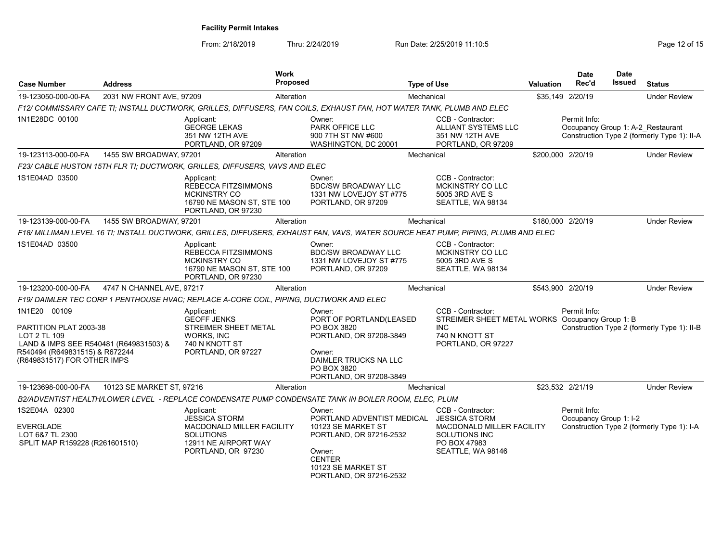| <b>Case Number</b>                                                                                                                                                | <b>Address</b>            | <b>Work</b>                                                                                                                        | <b>Proposed</b> |                                                                                                                                                                                 | <b>Type of Use</b> |                                                                                                                            | Valuation | <b>Date</b><br>Rec'd                              | <b>Date</b><br>Issued | <b>Status</b>                               |
|-------------------------------------------------------------------------------------------------------------------------------------------------------------------|---------------------------|------------------------------------------------------------------------------------------------------------------------------------|-----------------|---------------------------------------------------------------------------------------------------------------------------------------------------------------------------------|--------------------|----------------------------------------------------------------------------------------------------------------------------|-----------|---------------------------------------------------|-----------------------|---------------------------------------------|
| 19-123050-000-00-FA                                                                                                                                               | 2031 NW FRONT AVE, 97209  |                                                                                                                                    | Alteration      |                                                                                                                                                                                 | Mechanical         |                                                                                                                            |           | \$35,149 2/20/19                                  |                       | <b>Under Review</b>                         |
|                                                                                                                                                                   |                           | F12/ COMMISSARY CAFE TI; INSTALL DUCTWORK, GRILLES, DIFFUSERS, FAN COILS, EXHAUST FAN, HOT WATER TANK, PLUMB AND ELEC              |                 |                                                                                                                                                                                 |                    |                                                                                                                            |           |                                                   |                       |                                             |
| 1N1E28DC 00100                                                                                                                                                    |                           | Applicant:<br><b>GEORGE LEKAS</b><br>351 NW 12TH AVE<br>PORTLAND, OR 97209                                                         |                 | Owner:<br>PARK OFFICE LLC<br>900 7TH ST NW #600<br>WASHINGTON, DC 20001                                                                                                         |                    | CCB - Contractor:<br>ALLIANT SYSTEMS LLC<br>351 NW 12TH AVE<br>PORTLAND, OR 97209                                          |           | Permit Info:<br>Occupancy Group 1: A-2 Restaurant |                       | Construction Type 2 (formerly Type 1): II-A |
| 19-123113-000-00-FA                                                                                                                                               | 1455 SW BROADWAY, 97201   |                                                                                                                                    | Alteration      |                                                                                                                                                                                 | Mechanical         |                                                                                                                            |           | \$200,000 2/20/19                                 |                       | <b>Under Review</b>                         |
|                                                                                                                                                                   |                           | F23/ CABLE HUSTON 15TH FLR TI: DUCTWORK, GRILLES, DIFFUSERS, VAVS AND ELEC                                                         |                 |                                                                                                                                                                                 |                    |                                                                                                                            |           |                                                   |                       |                                             |
| 1S1E04AD 03500                                                                                                                                                    |                           | Applicant:<br><b>REBECCA FITZSIMMONS</b><br>MCKINSTRY CO<br>16790 NE MASON ST, STE 100<br>PORTLAND, OR 97230                       |                 | Owner:<br><b>BDC/SW BROADWAY LLC</b><br>1331 NW LOVEJOY ST #775<br>PORTLAND, OR 97209                                                                                           |                    | CCB - Contractor:<br>MCKINSTRY CO LLC<br>5005 3RD AVE S<br>SEATTLE, WA 98134                                               |           |                                                   |                       |                                             |
| 19-123139-000-00-FA                                                                                                                                               | 1455 SW BROADWAY, 97201   |                                                                                                                                    | Alteration      |                                                                                                                                                                                 | Mechanical         |                                                                                                                            |           | \$180,000 2/20/19                                 |                       | <b>Under Review</b>                         |
|                                                                                                                                                                   |                           | F18/ MILLIMAN LEVEL 16 TI; INSTALL DUCTWORK, GRILLES, DIFFUSERS, EXHAUST FAN, VAVS, WATER SOURCE HEAT PUMP, PIPING, PLUMB AND ELEC |                 |                                                                                                                                                                                 |                    |                                                                                                                            |           |                                                   |                       |                                             |
| 1S1E04AD 03500                                                                                                                                                    |                           | Applicant:<br><b>REBECCA FITZSIMMONS</b><br><b>MCKINSTRY CO</b><br>16790 NE MASON ST, STE 100<br>PORTLAND, OR 97230                |                 | Owner:<br><b>BDC/SW BROADWAY LLC</b><br>1331 NW LOVEJOY ST #775<br>PORTLAND, OR 97209                                                                                           |                    | CCB - Contractor:<br><b>MCKINSTRY CO LLC</b><br>5005 3RD AVE S<br>SEATTLE, WA 98134                                        |           |                                                   |                       |                                             |
| 19-123200-000-00-FA                                                                                                                                               | 4747 N CHANNEL AVE, 97217 |                                                                                                                                    | Alteration      |                                                                                                                                                                                 | Mechanical         |                                                                                                                            |           | \$543,900 2/20/19                                 |                       | <b>Under Review</b>                         |
|                                                                                                                                                                   |                           | F19/ DAIMLER TEC CORP 1 PENTHOUSE HVAC; REPLACE A-CORE COIL, PIPING, DUCTWORK AND ELEC                                             |                 |                                                                                                                                                                                 |                    |                                                                                                                            |           |                                                   |                       |                                             |
| 1N1E20 00109<br>PARTITION PLAT 2003-38<br>LOT 2 TL 109<br>LAND & IMPS SEE R540481 (R649831503) &<br>R540494 (R649831515) & R672244<br>(R649831517) FOR OTHER IMPS |                           | Applicant:<br><b>GEOFF JENKS</b><br>STREIMER SHEET METAL<br><b>WORKS, INC</b><br>740 N KNOTT ST<br>PORTLAND, OR 97227              |                 | Owner:<br>PORT OF PORTLAND(LEASED<br>PO BOX 3820<br>PORTLAND, OR 97208-3849<br>Owner:<br>DAIMLER TRUCKS NA LLC<br>PO BOX 3820<br>PORTLAND, OR 97208-3849                        |                    | CCB - Contractor:<br>STREIMER SHEET METAL WORKS Occupancy Group 1: B<br><b>INC</b><br>740 N KNOTT ST<br>PORTLAND, OR 97227 |           | Permit Info:                                      |                       | Construction Type 2 (formerly Type 1): II-B |
| 19-123698-000-00-FA                                                                                                                                               | 10123 SE MARKET ST, 97216 |                                                                                                                                    | Alteration      |                                                                                                                                                                                 | Mechanical         |                                                                                                                            |           | \$23,532 2/21/19                                  |                       | <b>Under Review</b>                         |
|                                                                                                                                                                   |                           | B2/ADVENTIST HEALTH/LOWER LEVEL - REPLACE CONDENSATE PUMP CONDENSATE TANK IN BOILER ROOM, ELEC, PLUM                               |                 |                                                                                                                                                                                 |                    |                                                                                                                            |           |                                                   |                       |                                             |
| 1S2E04A 02300<br><b>EVERGLADE</b><br>LOT 6&7 TL 2300<br>SPLIT MAP R159228 (R261601510)                                                                            |                           | Applicant:<br><b>JESSICA STORM</b><br>MACDONALD MILLER FACILITY<br><b>SOLUTIONS</b><br>12911 NE AIRPORT WAY<br>PORTLAND, OR 97230  |                 | Owner:<br>PORTLAND ADVENTIST MEDICAL JESSICA STORM<br>10123 SE MARKET ST<br>PORTLAND, OR 97216-2532<br>Owner:<br><b>CENTER</b><br>10123 SE MARKET ST<br>PORTLAND, OR 97216-2532 |                    | CCB - Contractor:<br>MACDONALD MILLER FACILITY<br>SOLUTIONS INC<br>PO BOX 47983<br>SEATTLE, WA 98146                       |           | Permit Info:<br>Occupancy Group 1: I-2            |                       | Construction Type 2 (formerly Type 1): I-A  |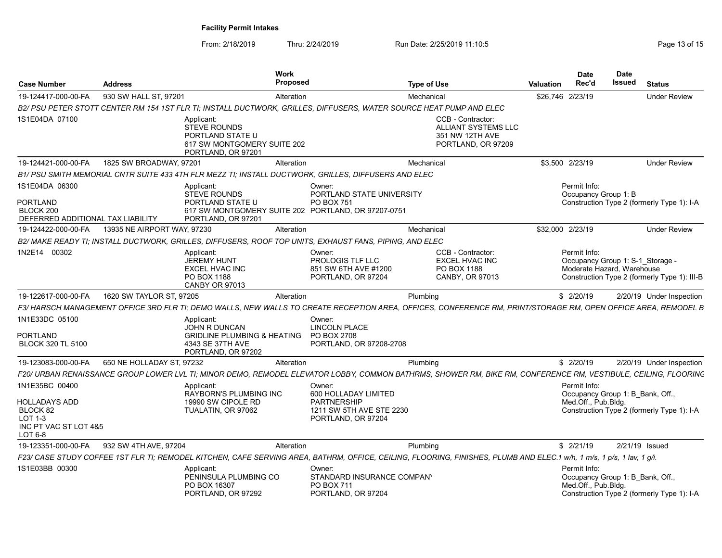From: 2/18/2019 Thru: 2/24/2019 Run Date: 2/25/2019 11:10:5<br>
Page 13 of 15

| <b>Case Number</b>                                                                  | <b>Address</b>              |                                                                                                                        | Work<br><b>Proposed</b> |                                                                                                                                                                       | <b>Type of Use</b> |                                                                                          | <b>Valuation</b> | <b>Date</b><br>Rec'd                                                    | <b>Date</b><br>Issued | <b>Status</b>                                                                    |
|-------------------------------------------------------------------------------------|-----------------------------|------------------------------------------------------------------------------------------------------------------------|-------------------------|-----------------------------------------------------------------------------------------------------------------------------------------------------------------------|--------------------|------------------------------------------------------------------------------------------|------------------|-------------------------------------------------------------------------|-----------------------|----------------------------------------------------------------------------------|
| 19-124417-000-00-FA                                                                 | 930 SW HALL ST, 97201       |                                                                                                                        | Alteration              |                                                                                                                                                                       | Mechanical         |                                                                                          | \$26,746 2/23/19 |                                                                         |                       | <b>Under Review</b>                                                              |
|                                                                                     |                             |                                                                                                                        |                         | B2/ PSU PETER STOTT CENTER RM 154 1ST FLR TI; INSTALL DUCTWORK, GRILLES, DIFFUSERS, WATER SOURCE HEAT PUMP AND ELEC                                                   |                    |                                                                                          |                  |                                                                         |                       |                                                                                  |
| 1S1E04DA 07100                                                                      |                             | Applicant:<br><b>STEVE ROUNDS</b><br>PORTLAND STATE U<br>617 SW MONTGOMERY SUITE 202<br>PORTLAND, OR 97201             |                         |                                                                                                                                                                       |                    | CCB - Contractor:<br><b>ALLIANT SYSTEMS LLC</b><br>351 NW 12TH AVE<br>PORTLAND, OR 97209 |                  |                                                                         |                       |                                                                                  |
| 19-124421-000-00-FA                                                                 | 1825 SW BROADWAY, 97201     |                                                                                                                        | Alteration              |                                                                                                                                                                       | Mechanical         |                                                                                          |                  | \$3,500 2/23/19                                                         |                       | <b>Under Review</b>                                                              |
|                                                                                     |                             |                                                                                                                        |                         | B1/ PSU SMITH MEMORIAL CNTR SUITE 433 4TH FLR MEZZ TI; INSTALL DUCTWORK. GRILLES. DIFFUSERS AND ELEC                                                                  |                    |                                                                                          |                  |                                                                         |                       |                                                                                  |
| 1S1E04DA 06300<br><b>PORTLAND</b><br>BLOCK 200<br>DEFERRED ADDITIONAL TAX LIABILITY |                             | Applicant:<br><b>STEVE ROUNDS</b><br>PORTLAND STATE U<br>PORTLAND, OR 97201                                            |                         | Owner:<br>PORTLAND STATE UNIVERSITY<br>PO BOX 751<br>617 SW MONTGOMERY SUITE 202 PORTLAND, OR 97207-0751                                                              |                    |                                                                                          |                  | Permit Info:<br>Occupancy Group 1: B                                    |                       | Construction Type 2 (formerly Type 1): I-A                                       |
| 19-124422-000-00-FA                                                                 | 13935 NE AIRPORT WAY, 97230 |                                                                                                                        | Alteration              |                                                                                                                                                                       | Mechanical         |                                                                                          | \$32,000 2/23/19 |                                                                         |                       | <b>Under Review</b>                                                              |
|                                                                                     |                             |                                                                                                                        |                         | B2/ MAKE READY TI; INSTALL DUCTWORK, GRILLES, DIFFUSERS, ROOF TOP UNITS, EXHAUST FANS, PIPING, AND ELEC                                                               |                    |                                                                                          |                  |                                                                         |                       |                                                                                  |
| 1N2E14 00302                                                                        |                             | Applicant:<br><b>JEREMY HUNT</b><br><b>EXCEL HVAC INC</b><br>PO BOX 1188<br>CANBY OR 97013                             |                         | Owner:<br><b>PROLOGIS TLF LLC</b><br>851 SW 6TH AVE #1200<br>PORTLAND, OR 97204                                                                                       |                    | CCB - Contractor:<br><b>EXCEL HVAC INC</b><br>PO BOX 1188<br>CANBY, OR 97013             |                  | Permit Info:<br>Moderate Hazard, Warehouse                              |                       | Occupancy Group 1: S-1 Storage -<br>Construction Type 2 (formerly Type 1): III-B |
| 19-122617-000-00-FA                                                                 | 1620 SW TAYLOR ST, 97205    |                                                                                                                        | Alteration              |                                                                                                                                                                       | Plumbing           |                                                                                          |                  | \$2/20/19                                                               |                       | 2/20/19 Under Inspection                                                         |
|                                                                                     |                             |                                                                                                                        |                         | F3/ HARSCH MANAGEMENT OFFICE 3RD FLR TI: DEMO WALLS. NEW WALLS TO CREATE RECEPTION AREA. OFFICES. CONFERENCE RM. PRINT/STORAGE RM. OPEN OFFICE AREA. REMODEL B        |                    |                                                                                          |                  |                                                                         |                       |                                                                                  |
| 1N1E33DC 05100<br><b>PORTLAND</b><br><b>BLOCK 320 TL 5100</b>                       |                             | Applicant:<br><b>JOHN R DUNCAN</b><br><b>GRIDLINE PLUMBING &amp; HEATING</b><br>4343 SE 37TH AVE<br>PORTLAND, OR 97202 |                         | Owner:<br>LINCOLN PLACE<br>PO BOX 2708<br>PORTLAND, OR 97208-2708                                                                                                     |                    |                                                                                          |                  |                                                                         |                       |                                                                                  |
| 19-123083-000-00-FA                                                                 | 650 NE HOLLADAY ST, 97232   |                                                                                                                        | Alteration              |                                                                                                                                                                       | Plumbing           |                                                                                          |                  | \$2/20/19                                                               |                       | 2/20/19 Under Inspection                                                         |
|                                                                                     |                             |                                                                                                                        |                         | F20/ URBAN RENAISSANCE GROUP LOWER LVL TI; MINOR DEMO, REMODEL ELEVATOR LOBBY, COMMON BATHRMS, SHOWER RM, BIKE RM, CONFERENCE RM, VESTIBULE, CEILING, FLOORING        |                    |                                                                                          |                  |                                                                         |                       |                                                                                  |
| 1N1E35BC 00400                                                                      |                             | Applicant:<br><b>RAYBORN'S PLUMBING INC</b>                                                                            |                         | Owner:<br>600 HOLLADAY LIMITED                                                                                                                                        |                    |                                                                                          |                  | Permit Info:<br>Occupancy Group 1: B Bank, Off.,                        |                       |                                                                                  |
| <b>HOLLADAYS ADD</b><br>BLOCK 82<br>LOT 1-3<br>INC PT VAC ST LOT 4&5<br>$LOT6-8$    |                             | 19990 SW CIPOLE RD<br>TUALATIN, OR 97062                                                                               |                         | <b>PARTNERSHIP</b><br>1211 SW 5TH AVE STE 2230<br>PORTLAND, OR 97204                                                                                                  |                    |                                                                                          |                  | Med.Off., Pub.Bldg.                                                     |                       | Construction Type 2 (formerly Type 1): I-A                                       |
| 19-123351-000-00-FA                                                                 | 932 SW 4TH AVE, 97204       |                                                                                                                        | Alteration              |                                                                                                                                                                       | Plumbing           |                                                                                          |                  | \$2/21/19                                                               |                       | 2/21/19 Issued                                                                   |
|                                                                                     |                             |                                                                                                                        |                         | F23/ CASE STUDY COFFEE 1ST FLR TI; REMODEL KITCHEN, CAFE SERVING AREA, BATHRM, OFFICE, CEILING, FLOORING, FINISHES, PLUMB AND ELEC.1 w/h, 1 m/s, 1 p/s, 1 lav, 1 g/i. |                    |                                                                                          |                  |                                                                         |                       |                                                                                  |
| 1S1E03BB 00300                                                                      |                             | Applicant:<br>PENINSULA PLUMBING CO<br>PO BOX 16307<br>PORTLAND, OR 97292                                              |                         | Owner:<br>STANDARD INSURANCE COMPANY<br>PO BOX 711<br>PORTLAND, OR 97204                                                                                              |                    |                                                                                          |                  | Permit Info:<br>Occupancy Group 1: B Bank, Off.,<br>Med.Off., Pub.Bldg. |                       | Construction Type 2 (formerly Type 1): I-A                                       |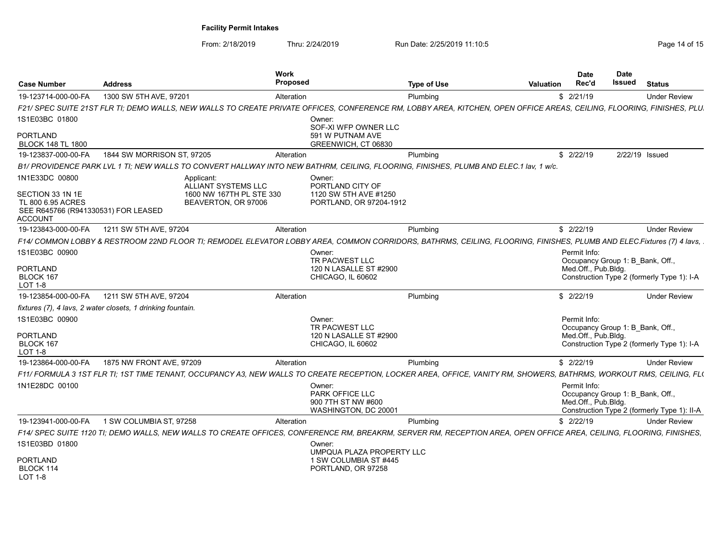| <b>Case Number</b>                                                                      | <b>Address</b>                                                                                                                                                         | <b>Work</b><br><b>Proposed</b> |                                                                         | <b>Type of Use</b> | <b>Valuation</b> | <b>Date</b><br>Rec'd                                                    | <b>Date</b><br>Issued | <b>Status</b>                               |
|-----------------------------------------------------------------------------------------|------------------------------------------------------------------------------------------------------------------------------------------------------------------------|--------------------------------|-------------------------------------------------------------------------|--------------------|------------------|-------------------------------------------------------------------------|-----------------------|---------------------------------------------|
| 19-123714-000-00-FA                                                                     | 1300 SW 5TH AVE, 97201                                                                                                                                                 | Alteration                     |                                                                         | Plumbing           |                  | \$2/21/19                                                               |                       | <b>Under Review</b>                         |
|                                                                                         | F21/ SPEC SUITE 21ST FLR TI; DEMO WALLS, NEW WALLS TO CREATE PRIVATE OFFICES, CONFERENCE RM, LOBBY AREA, KITCHEN, OPEN OFFICE AREAS, CEILING, FLOORING, FINISHES, PLU, |                                |                                                                         |                    |                  |                                                                         |                       |                                             |
| 1S1E03BC 01800                                                                          |                                                                                                                                                                        |                                | Owner:<br>SOF-XI WFP OWNER LLC                                          |                    |                  |                                                                         |                       |                                             |
| PORTLAND<br><b>BLOCK 148 TL 1800</b>                                                    |                                                                                                                                                                        |                                | 591 W PUTNAM AVE<br>GREENWICH, CT 06830                                 |                    |                  |                                                                         |                       |                                             |
| 19-123837-000-00-FA                                                                     | 1844 SW MORRISON ST. 97205                                                                                                                                             | Alteration                     |                                                                         | Plumbing           |                  | \$2/22/19                                                               |                       | 2/22/19 Issued                              |
|                                                                                         | B1/ PROVIDENCE PARK LVL 1 TI; NEW WALLS TO CONVERT HALLWAY INTO NEW BATHRM, CEILING, FLOORING, FINISHES, PLUMB AND ELEC.1 lav, 1 w/c.                                  |                                |                                                                         |                    |                  |                                                                         |                       |                                             |
| 1N1E33DC 00800                                                                          | Applicant:<br>ALLIANT SYSTEMS LLC                                                                                                                                      |                                | Owner:<br>PORTLAND CITY OF                                              |                    |                  |                                                                         |                       |                                             |
| SECTION 33 1N 1E<br>TL 800 6.95 ACRES<br>SEE R645766 (R941330531) FOR LEASED<br>ACCOUNT | 1600 NW 167TH PL STE 330<br>BEAVERTON, OR 97006                                                                                                                        |                                | 1120 SW 5TH AVE #1250<br>PORTLAND, OR 97204-1912                        |                    |                  |                                                                         |                       |                                             |
| 19-123843-000-00-FA                                                                     | 1211 SW 5TH AVE, 97204                                                                                                                                                 | Alteration                     |                                                                         | Plumbing           |                  | \$2/22/19                                                               |                       | <b>Under Review</b>                         |
|                                                                                         | F14/ COMMON LOBBY & RESTROOM 22ND FLOOR TI; REMODEL ELEVATOR LOBBY AREA, COMMON CORRIDORS, BATHRMS, CEILING, FLOORING, FINISHES, PLUMB AND ELEC Fixtures (7) 4 lavs,   |                                |                                                                         |                    |                  |                                                                         |                       |                                             |
| 1S1E03BC 00900                                                                          |                                                                                                                                                                        |                                | Owner:<br>TR PACWEST LLC                                                |                    |                  | Permit Info:<br>Occupancy Group 1: B Bank, Off.,                        |                       |                                             |
| PORTLAND                                                                                |                                                                                                                                                                        |                                | 120 N LASALLE ST #2900                                                  |                    |                  | Med.Off., Pub.Bldg.                                                     |                       |                                             |
| BLOCK 167<br>LOT 1-8                                                                    |                                                                                                                                                                        |                                | CHICAGO, IL 60602                                                       |                    |                  |                                                                         |                       | Construction Type 2 (formerly Type 1): I-A  |
| 19-123854-000-00-FA                                                                     | 1211 SW 5TH AVE, 97204                                                                                                                                                 | Alteration                     |                                                                         | Plumbing           |                  | \$2/22/19                                                               |                       | <b>Under Review</b>                         |
|                                                                                         | fixtures (7), 4 lavs, 2 water closets, 1 drinking fountain.                                                                                                            |                                |                                                                         |                    |                  |                                                                         |                       |                                             |
| 1S1E03BC 00900                                                                          |                                                                                                                                                                        |                                | Owner:                                                                  |                    |                  | Permit Info:                                                            |                       |                                             |
| PORTLAND                                                                                |                                                                                                                                                                        |                                | TR PACWEST LLC<br>120 N LASALLE ST #2900                                |                    |                  | Occupancy Group 1: B Bank, Off.,<br>Med Off., Pub Bldg.                 |                       |                                             |
| BLOCK 167<br>LOT 1-8                                                                    |                                                                                                                                                                        |                                | CHICAGO, IL 60602                                                       |                    |                  |                                                                         |                       | Construction Type 2 (formerly Type 1): I-A  |
| 19-123864-000-00-FA                                                                     | 1875 NW FRONT AVE, 97209                                                                                                                                               | Alteration                     |                                                                         | Plumbing           |                  | \$2/22/19                                                               |                       | <b>Under Review</b>                         |
|                                                                                         | F11/ FORMULA 3 1ST FLR TI: 1ST TIME TENANT, OCCUPANCY A3, NEW WALLS TO CREATE RECEPTION, LOCKER AREA, OFFICE, VANITY RM, SHOWERS, BATHRMS, WORKOUT RMS, CEILING, FL(   |                                |                                                                         |                    |                  |                                                                         |                       |                                             |
| 1N1E28DC 00100                                                                          |                                                                                                                                                                        |                                | Owner:<br>PARK OFFICE LLC<br>900 7TH ST NW #600<br>WASHINGTON, DC 20001 |                    |                  | Permit Info:<br>Occupancy Group 1: B Bank, Off.,<br>Med.Off., Pub.Bldg. |                       | Construction Type 2 (formerly Type 1): II-A |
| 19-123941-000-00-FA                                                                     | 1 SW COLUMBIA ST. 97258                                                                                                                                                | Alteration                     |                                                                         | Plumbing           |                  | \$2/22/19                                                               |                       | <b>Under Review</b>                         |
|                                                                                         | F14/ SPEC SUITE 1120 TI; DEMO WALLS, NEW WALLS TO CREATE OFFICES, CONFERENCE RM, BREAKRM, SERVER RM, RECEPTION AREA, OPEN OFFICE AREA, CEILING, FLOORING, FINISHES,    |                                |                                                                         |                    |                  |                                                                         |                       |                                             |
| 1S1E03BD 01800                                                                          |                                                                                                                                                                        |                                | Owner:<br>UMPQUA PLAZA PROPERTY LLC                                     |                    |                  |                                                                         |                       |                                             |
| <b>PORTLAND</b><br>BLOCK 114<br><b>LOT 1-8</b>                                          |                                                                                                                                                                        |                                | 1 SW COLUMBIA ST #445<br>PORTLAND, OR 97258                             |                    |                  |                                                                         |                       |                                             |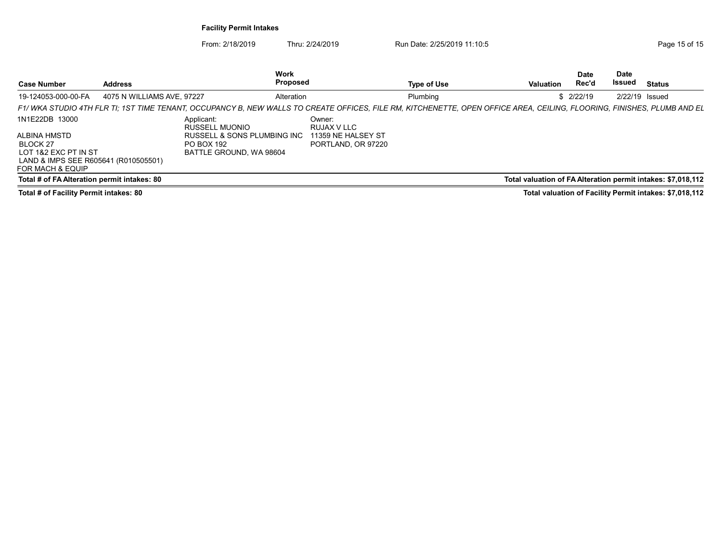| <b>Case Number</b>                                                               | <b>Address</b>             |                                                                           | Work<br>Proposed |                                                                   | <b>Type of Use</b>                                                                                                                                                     | <b>Valuation</b> | <b>Date</b><br>Rec'd | Date<br>Issued   | <b>Status</b>                                                |
|----------------------------------------------------------------------------------|----------------------------|---------------------------------------------------------------------------|------------------|-------------------------------------------------------------------|------------------------------------------------------------------------------------------------------------------------------------------------------------------------|------------------|----------------------|------------------|--------------------------------------------------------------|
| 19-124053-000-00-FA                                                              | 4075 N WILLIAMS AVE, 97227 |                                                                           | Alteration       |                                                                   | Plumbing                                                                                                                                                               |                  | \$2/22/19            | $2/22/19$ Issued |                                                              |
|                                                                                  |                            |                                                                           |                  |                                                                   | F1/WKA STUDIO 4TH FLR TI; 1ST TIME TENANT, OCCUPANCY B, NEW WALLS TO CREATE OFFICES, FILE RM, KITCHENETTE, OPEN OFFICE AREA, CEILING, FLOORING, FINISHES, PLUMB AND EL |                  |                      |                  |                                                              |
| 1N1E22DB 13000<br>ALBINA HMSTD<br>BLOCK 27                                       |                            | Applicant:<br>RUSSELL MUONIO<br>RUSSELL & SONS PLUMBING INC<br>PO BOX 192 |                  | Owner:<br>RUJAX V LLC<br>11359 NE HALSEY ST<br>PORTLAND, OR 97220 |                                                                                                                                                                        |                  |                      |                  |                                                              |
| LOT 1&2 EXC PT IN ST<br>LAND & IMPS SEE R605641 (R010505501)<br>FOR MACH & EQUIP |                            | BATTLE GROUND, WA 98604                                                   |                  |                                                                   |                                                                                                                                                                        |                  |                      |                  |                                                              |
| Total # of FA Alteration permit intakes: 80                                      |                            |                                                                           |                  |                                                                   |                                                                                                                                                                        |                  |                      |                  | Total valuation of FA Alteration permit intakes: \$7,018,112 |
| Total # of Facility Permit intakes: 80                                           |                            |                                                                           |                  |                                                                   |                                                                                                                                                                        |                  |                      |                  | Total valuation of Facility Permit intakes: \$7,018,112      |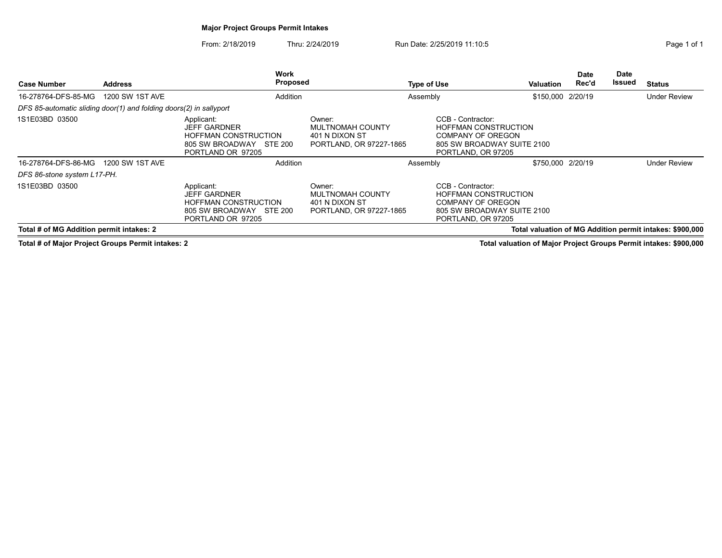## Major Project Groups Permit Intakes

From: 2/18/2019 Thru: 2/24/2019 Run Date: 2/25/2019 11:10:5

| <b>Case Number</b>                                                 | <b>Address</b>  | <b>Work</b><br><b>Proposed</b>                                                                                      |                                                                         | <b>Type of Use</b>                                                                          | Valuation                  | <b>Date</b><br>Rec'd | Date<br>Issued | <b>Status</b>                                            |
|--------------------------------------------------------------------|-----------------|---------------------------------------------------------------------------------------------------------------------|-------------------------------------------------------------------------|---------------------------------------------------------------------------------------------|----------------------------|----------------------|----------------|----------------------------------------------------------|
| 16-278764-DFS-85-MG                                                | 1200 SW 1ST AVE | Addition                                                                                                            |                                                                         | Assembly                                                                                    | \$150,000 2/20/19          |                      |                | <b>Under Review</b>                                      |
| DFS 85-automatic sliding door(1) and folding doors(2) in sallyport |                 |                                                                                                                     |                                                                         |                                                                                             |                            |                      |                |                                                          |
| 1S1E03BD 03500                                                     |                 | Applicant:<br><b>JEFF GARDNER</b><br><b>HOFFMAN CONSTRUCTION</b><br>805 SW BROADWAY<br>STE 200<br>PORTLAND OR 97205 | Owner:<br>MULTNOMAH COUNTY<br>401 N DIXON ST<br>PORTLAND, OR 97227-1865 | CCB - Contractor:<br><b>HOFFMAN CONSTRUCTION</b><br>COMPANY OF OREGON<br>PORTLAND, OR 97205 | 805 SW BROADWAY SUITE 2100 |                      |                |                                                          |
| 16-278764-DFS-86-MG                                                | 1200 SW 1ST AVE | Addition                                                                                                            |                                                                         | Assembly                                                                                    | \$750,000 2/20/19          |                      |                | <b>Under Review</b>                                      |
| DFS 86-stone system L17-PH.                                        |                 |                                                                                                                     |                                                                         |                                                                                             |                            |                      |                |                                                          |
| 1S1E03BD 03500                                                     |                 | Applicant:<br><b>JEFF GARDNER</b><br><b>HOFFMAN CONSTRUCTION</b><br>805 SW BROADWAY<br>STE 200<br>PORTLAND OR 97205 | Owner:<br>MULTNOMAH COUNTY<br>401 N DIXON ST<br>PORTLAND, OR 97227-1865 | CCB - Contractor:<br><b>HOFFMAN CONSTRUCTION</b><br>COMPANY OF OREGON<br>PORTLAND, OR 97205 | 805 SW BROADWAY SUITE 2100 |                      |                |                                                          |
| Total # of MG Addition permit intakes: 2                           |                 |                                                                                                                     |                                                                         |                                                                                             |                            |                      |                | Total valuation of MG Addition permit intakes: \$900,000 |

Total # of Major Project Groups Permit intakes: 2 Total valuation of Major Project Groups Permit intakes: \$900,000